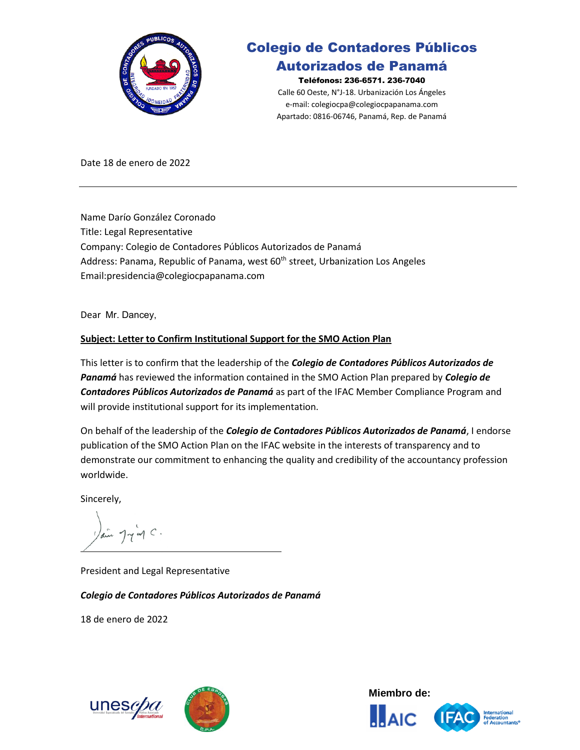

# Colegio de Contadores Públicos

## Autorizados de Panamá

Teléfonos: 236-6571. 236-7040 Calle 60 Oeste, N°J-18. Urbanización Los Ángeles e-mail: [colegiocpa@colegiocpapanama.com](mailto:colegiocpa@colegiocpapanama.com) Apartado: 0816-06746, Panamá, Rep. de Panamá

Date 18 de enero de 2022

Name Darío González Coronado Title: Legal Representative Company: Colegio de Contadores Públicos Autorizados de Panamá Address: Panama, Republic of Panama, west 60<sup>th</sup> street, Urbanization Los Angeles Email:presidencia@colegiocpapanama.com

Dear Mr. Dancey,

## **Subject: Letter to Confirm Institutional Support for the SMO Action Plan**

This letter is to confirm that the leadership of the *Colegio de Contadores Públicos Autorizados de Panamá* has reviewed the information contained in the SMO Action Plan prepared by *Colegio de Contadores Públicos Autorizados de Panamá* as part of the IFAC Member Compliance Program and will provide institutional support for its implementation.

On behalf of the leadership of the *Colegio de Contadores Públicos Autorizados de Panamá*, I endorse publication of the SMO Action Plan on the IFAC website in the interests of transparency and to demonstrate our commitment to enhancing the quality and credibility of the accountancy profession worldwide.

Sincerely,

 $7\nu$  or  $\sim$ .

President and Legal Representative

*Colegio de Contadores Públicos Autorizados de Panamá*

18 de enero de 2022





**Miembro de: AIC** 

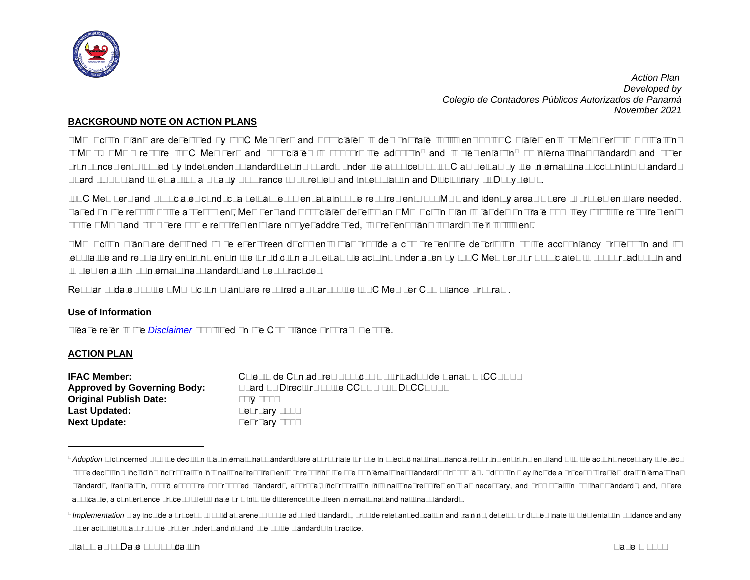<span id="page-1-1"></span><span id="page-1-0"></span>

#### **BACKGROUND NOTE ON ACTION PLANS**

SMO Action Plans are developed by IFAC Members and Associates to demonstrate fulfillment of IFAC Statements of Membership Obligations (SMOs). SMOs require IFAC Members and Associates to support the adoption<sup>[1](#page-1-0)</sup> and implementation<sup>[2](#page-1-1)</sup> of international standards and other pronouncements issued by independent standard-setting boards under the auspices of IFAC as well as by the International Accounting Standards Board (IASB); and to establish a Quality Assurance (QA) review and Investigation and Disciplinary (I&D) systems.

IFAC Members and Associates conduct a self-assessment against the requirements of SMOs and identify areas where improvements are needed. Based on the results of the assessment, Members and Associates develop an SMO Action Plan to (a) demonstrate how they fulfill the requirements of the SMOs and (b) where some requirements are not yet addressed, to present plans towards their fulfillment.

SMO Action Plans are designed to be ever-green documents that provide a comprehensive description of the accountancy profession and its legislative and regulatory environment in the jurisdiction as well as the actions undertaken by IFAC Members or Associates to support adoption and implementation of international standards and best practices.

Regular updates of the SMO Action Plans are required as part of the IFAC Member Compliance Program.

#### **Use of Information**

Please refer to the *[Disclaimer](http://www.ifac.org/about-ifac/membership/members/disclaimer)* published on the Compliance Program website.

#### **ACTION PLAN**

| Colegio de Contadores Públicos Autorizados de Panamá (CCPAP) |
|--------------------------------------------------------------|
| Board of Directors of the CCPAP (BOD CCPAP)                  |
| July 2010                                                    |
| February 2022                                                |
| February 2025                                                |
|                                                              |

<sup>&</sup>lt;sup>1</sup> Adoption is concerned with the decision that international standards are appropriate for use in specific national financial reporting environments and with the actions necessary to effect those decisions, including incorporation into national requirements or requiring the use of international standards through law. Adoption may include a process to review draft international standards, translation, public exposure of proposed standards, approval, incorporation into national requirements as necessary, and promulgation of final standards, and, where applicable, a convergence process to eliminate or minimize differences between international and national standards.

<sup>&</sup>lt;sup>2</sup> Implementation may include a process to build awareness of the adopted standards, provide relevant education and training, develop or disseminate implementation guidance and any other activities that promote proper understanding and use of the standards in practice.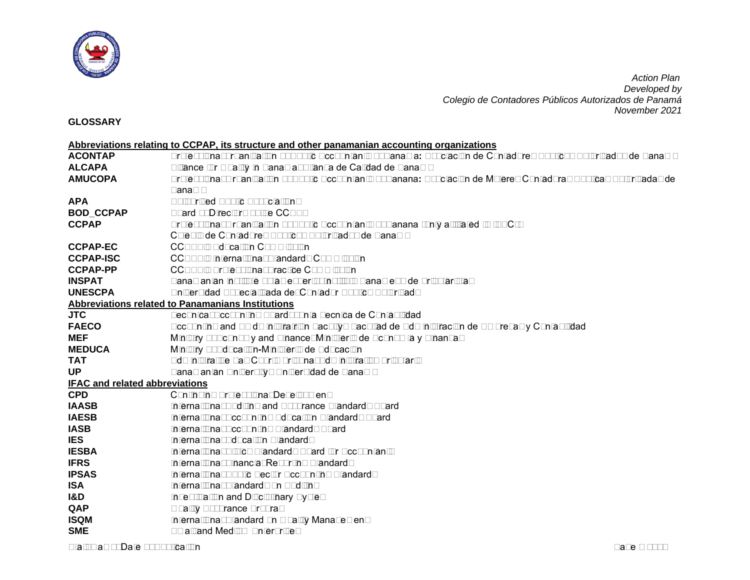

**GLOSSARY**

|                                       | Abbreviations relating to CCPAP, its structure and other panamanian accounting organizations                        |
|---------------------------------------|---------------------------------------------------------------------------------------------------------------------|
| <b>ACONTAP</b>                        | Professional organization of Public Accountants of Panama: Asociación de Contadores Públicos Autorizados de Panamá  |
| <b>ALCAPA</b>                         | Alliance for Quality in Panama: Alianza de Calidad de Panamá                                                        |
| <b>AMUCOPA</b>                        | Professional Organization of Public Accountants of Panana: Asociación de Mujeres Contadoras Públicas Autorizadas de |
|                                       | Panamá                                                                                                              |
| <b>APA</b>                            | <b>Authorized Public Associations</b>                                                                               |
| <b>BOD_CCPAP</b>                      | Board of Directors of the CCPAP                                                                                     |
| <b>CCPAP</b>                          | Professional Organization of Public Accountants of Panana (only affiliated to IFAC):                                |
|                                       | Colegio de Contadores Públicos Autorizados de Panamá                                                                |
| <b>CCPAP-EC</b>                       | <b>CCPAP's Education Commission</b>                                                                                 |
| <b>CCPAP-ISC</b>                      | <b>CCPAP's International Standards Commission</b>                                                                   |
| <b>CCPAP-PP</b>                       | <b>CCPAP's Professional Practice Commission</b>                                                                     |
| <b>INSPAT</b>                         | Panamanian institute of tax experts: Instituto Panameño de Tributaristas                                            |
| <b>UNESCPA</b>                        | Universidad Especializada del Contador Público Autorizado                                                           |
|                                       | Abbreviations related to Panamanians Institutions                                                                   |
| <b>JTC</b>                            | Technical Accounting Board: Junta Tecnica de Contabilidad                                                           |
| <b>FAECO</b>                          | Accounting and Amdministratrion Faculty: Facultad de Administración de Empresas y Contabilidad                      |
| <b>MEF</b>                            | Ministry of Economy and Finance: Ministerio de Economía y Finanzas                                                  |
| <b>MEDUCA</b>                         | Ministry of Education-Ministerio de Educación                                                                       |
| <b>TAT</b>                            | Administrative Tax Court: Tribunal Administrativo Tributario                                                        |
| <b>UP</b>                             | Panamanian University: Universidad de Panamá                                                                        |
| <b>IFAC and related abbreviations</b> |                                                                                                                     |
| <b>CPD</b>                            | <b>Continuing Professional Development</b>                                                                          |
| <b>IAASB</b>                          | International Auditing and Assurance Standards Board                                                                |
| <b>IAESB</b>                          | International Accounting Education Standards Board                                                                  |
| <b>IASB</b>                           | International Accounting Standards Board                                                                            |
| <b>IES</b>                            | <b>International Education Standards</b>                                                                            |
| <b>IESBA</b>                          | International Ethics Standards Board for Accountants                                                                |
| <b>IFRS</b>                           | International Financial Reporting Standards                                                                         |
| <b>IPSAS</b>                          | International Public Sector Accounting Standards                                                                    |
| <b>ISA</b>                            | International Standards on Auditing                                                                                 |
| I&D                                   | <b>Investigation and Disciplinary System</b>                                                                        |
| QAP                                   | <b>Quality Assurance Program</b>                                                                                    |
| <b>ISQM</b>                           | International Standard on Quality Management                                                                        |
| <b>SME</b>                            | <b>Small and Medium Enterprises</b>                                                                                 |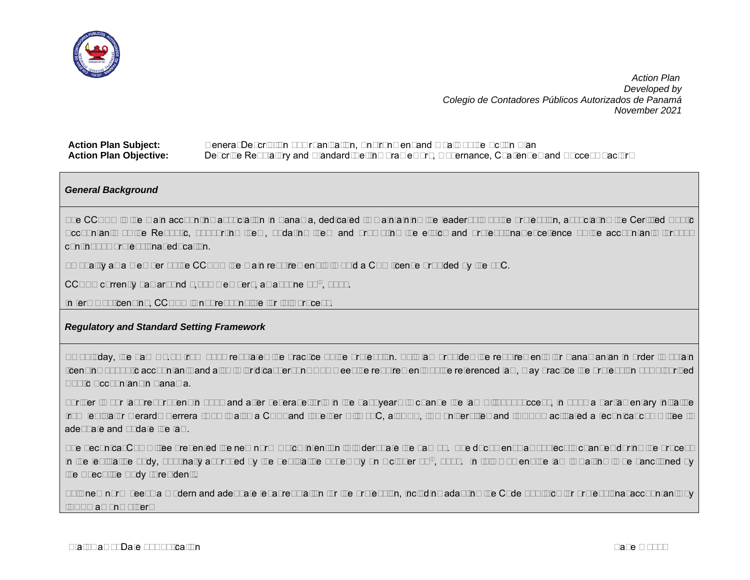

| <b>Action Plan Subject:</b>   | General Description of Organization, Environment and Goals of the Action Plan                  |
|-------------------------------|------------------------------------------------------------------------------------------------|
| <b>Action Plan Objective:</b> | Describe Regulatory and Standard-Setting Framework, Governance, Challenges and Success Factors |

## *General Background*

The CCPAP is the main accounting association in Panama, dedicated to maintaining the leadership of the profession, associating the Certified Public Accountants of the Republic, supporting them, updating them and promoting the ethics and professional excellence of the accountants through continuous professional education.

To qualify as a member of the CCPAP the main requirement is to hold a CPA license provided by the JTC.

CCPAP currently has around 1,014 members, as at June 30<sup>th</sup>, 2021.

In terms of licensing, CCPAP is not responsible for this process.

#### *Regulatory and Standard Setting Framework*

As of today, the Law No.57 from 1978 regulates the practice of the profession. This law provides the requirements for Panamanian in order to obtain licensing of public accountants and also to juridical persons who meet the requirements of the referenced law, may practice the profession of Authorized Public Accountant in Panama.

Further to our last report sent in 2018 and after several efforts in the past years to change the law without success, in 2019 a parliamentary initiative from legislator Gerardo Herrera (who is also a CPA) and together with JTC, all APA, two universities and INSPAT activated a technical committee to adequate and update the law.

The Technical Committee presented the new norm which intention is to derogate the Law 57. The document was subject to changes during the process in the legislative body, but finally approved by the Legislative Assembly on October 29<sup>th</sup>, 2021. In this moment the law is waiting to be sanctioned by the Executive Body (President).

This new norm seeks a modern and adequate legal regulation for the profession, including adapting the Code of Ethics for professional accountants by IESBA among others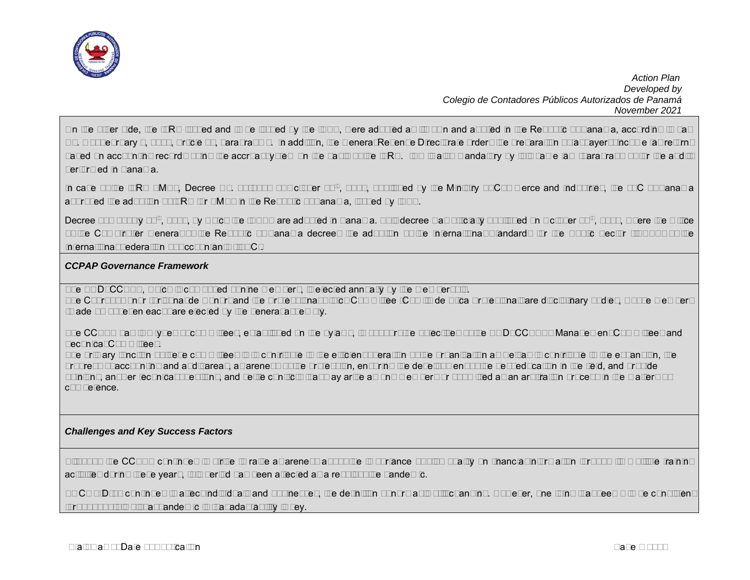

On the other side, the IFRS issued and to be issued by the IASB, were adopted as its own and applied in the Republic of Panama, according to Law No. 6 of February 2, 2005, Article 74, paragraph 1. In addition, the General Revenue Directorate orders the preparation of taxpayers' income tax returns based on accounting records using the accrual system on the basis of the IFRS. ISA is also mandatory by this same law (paragraph 2) for the audits performed in Panama.

In case of the IFRS SMEs, Decree No. 03-2010 of October 28<sup>th</sup>, 2010, published by the Ministry of Commerce and Industries, the JTC of Panama approved the adoption of IFRS for SMEs in the Republic of Panama, issued by IASB.

Decree 220 of July 25<sup>th</sup>, 2014, by which the IPSAS are adopted in Panama. This decree was officially published on October 20<sup>th</sup>, 2014, where the Office of the Comptroller General of the Republic of Panama decrees the adoption of the International Standards for the Public Sector (IPSAS) of the International Federation of Accountants (IFAC).

## *CCPAP Governance Framework*

The BOD CCPAP, which is composed of nine members, is elected annually by the membership.

The Court of Honor (Tribunal de Honor) and the Professional Ethics Committee (Comité de Etica Profesional) are disciplinary bodies, whose members (made up of seven each) are elected by the general assembly.

The CCPAP has two types of committees, established on the bylaws, to support the objectives of the BOD\_CCPAP: Management Committees and Technical Committees.

The primary function of these committees is to contribute to the efficient operation of the organization as well as to contribute to the expansion, the progress of accounting and audit areas, awareness of the profession, ensuring the development of the best education in the field, and provide opinions, answer technical questions, and settle conflicts that may arise among members or submitted as an arbitration process in the matters of competence.

## *Challenges and Key Success Factors*

Although the CCPAP continues to strive to raise awareness about the importance of high quality on financial information through its multiple training activities during these years, this period has been affected as a result of the pandemic.

As COVID-19 continues to affect individuals and businesses, the definition of normal is still changing. However, one thing that seems to be consistent throughout this global pandemic is that adaptability is key.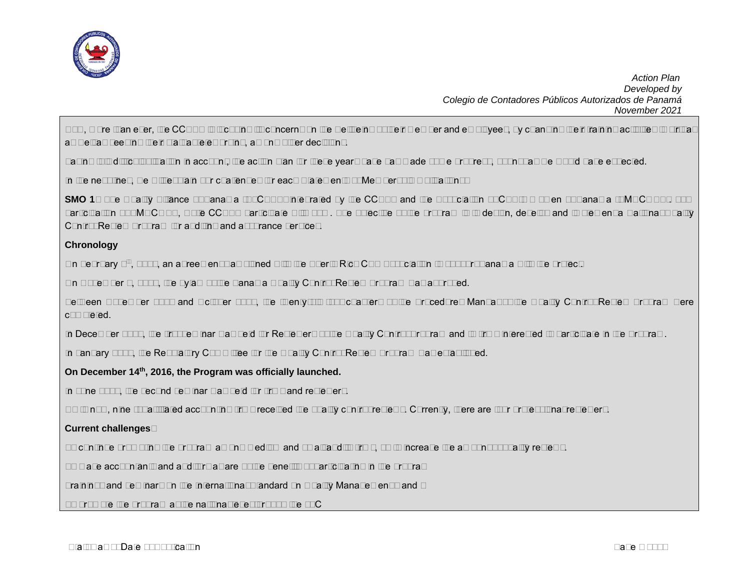

Now, more than ever, the CCPAP is focusing its concerns on the wellbeing of their member and employees, by changing their training activities to virtual as well as keeping their staff at teleworking, among other decisions.

Taking this difficult situation in account, the action plan for these years have has made some progress, but not as we would have expected.

In the next lines, we will explain our challenges for each Statements of Membership Obligations:

**SMO 1**– The Quality Alliance of Panama (ALCAPA) integrated by the CCPAP and the Association of CPA´s Women of Panama (AMUCOPA). 30% participation of AMUCOPA, while CCPAP participate with 70%. The objective of the program is to design, develop and implement a National Quality Control Review Program for auditing and assurance services.

## **Chronology**

On February 6<sup>th</sup>, 2013, an agreement was signed with the Puerto Rico CPA Association to support Panama with the project.

On November 1, 2013, the bylaw of the Panama Quality Control Review Program was approved.

Between November 2013 and October 2015, the twenty-six (26) chapters of the Procedures Manual of the Quality Control Review Program were completed.

In December 2015, the first seminar was held for Reviewers of the Quality Control Program and to firms interested to participate in the Program.

In January 2016, the Regulatory Committee for the Quality Control Review Program was established.

## **On December 14th, 2016, the Program was officially launched.**

In June 2017, the second seminar was held for firms and reviewers.

Up to now, nine (9) affiliated accounting firms received the quality control reviews. Currently, there are four professional reviewers.

## **Current challenges**:

To continue promoting the program among medium and small audits firms, so to increase the amount of quality reviews.

To make accountants and auditors aware of the benefits of participating in the program

Trainings and seminars on the International Standard on Quality Management 1 and 2

To promote the program at the national level through the JTC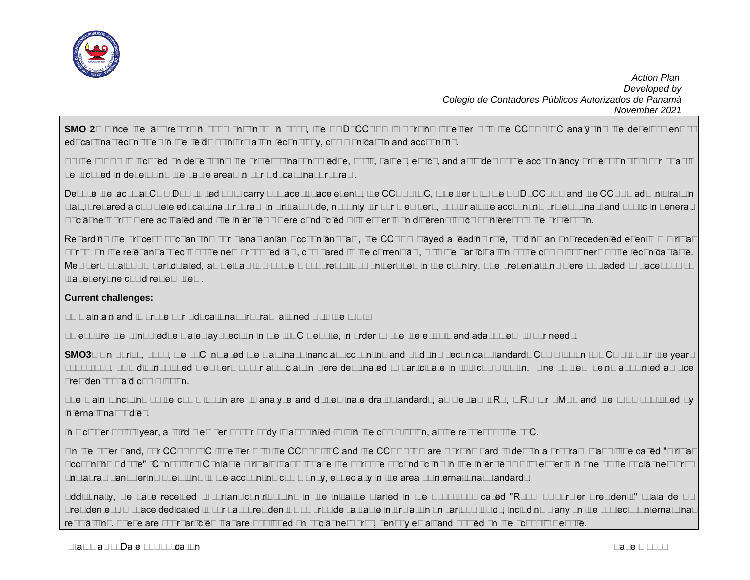

**SMO 2**– Since the last report in 2018 until now in 2021, the BOD\_CCPAP is working together with the CCPAP-EC analyzing the development of educational techniques in the fields of information technology, communication and accounting.

As the IAESB is focused on developing the professional knowledge, skills, values, ethics, and attitudes of the accountancy profession; it is our goal to be focused in developing the same areas in our Educational Program.

Despite the fact that COVID19 limited us to carry out face-to-face events, the CCPAP-EC, together with the BOD CCPAP and the CCPAP administration staff, prepared a complete educational program in virtual mode, not only for our members, but for all the accounting professionals and public in general. Social networks were activated and live interviews were conducted with experts on different topics of interest to the profession.

Regarding the process of changing our Panamanian Accountant Law, the CCPAP played a leading role, holding an unprecedented event: A Virtual Forum on the relevant aspects of the new proposed law, compared to the current law, with the participation of the commissioners of the technical table. Members of all APA participated, as well as two of the most prestigious universities in the country. The presentations were uploaded to Facebook so that everyone could review them.

## **Current challenges:**

To maintain and improve our Educational Program aligned with the IES´s

To explore the "Knowledge Gateway" section in the IFAC website, in order to use the e-tools and adapt them to our needs.

**SMO3**– On April 9, 2021, the JTC installed the National Financial Accounting and Auditing Technical Standards Commission (NOCOFIN) for the years 2021-2023. Two distinguished members of our association were designated to participate in this commission. One of them being appointed as vice president of said commission.

The main functions of the commission are to analyze and disseminate draft standards, as well as IFRS, IFRS for SMEs and the ISAs published by international bodies.

In October of this year, a third member of our body is appointed to join the commission, at the request of the JTC**.**

On the other hand, our CCPAP-EC together with the CCPAP-ISC and the CCPAP-PP are working hard to design a program that will be called "Virtual Accounting Advise" (Consultorio Contable Virtual) that will have the purpose of conducting in live interviews with experts in one of the social networks (Instagram) answering questions to the accounting community, especially in the area of international standards.

Additionally, we have received important contributions in the initiative started in the 2020-2021 called "Room of Former Presidents" (Sala de Ex Presidentes). A space dedicated to our past presidents who provide valuable information on various topics, including many on the subject of international regulations. These are short articles that are published on social networks, sent by email and posted on the school's website.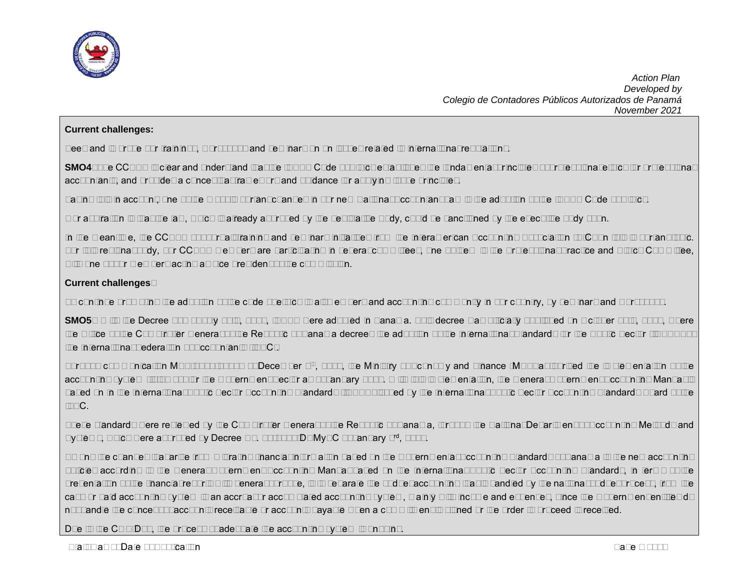

#### **Current challenges:**

Keep and improve our trainings, workshops and seminars on on issues related to international regulations.

**SMO4**–The CCPAP is clear and understand that the IESBA Code of Ethics establishes the fundamental principles of professional ethics for professional accountants, and provides a conceptual framework and guidance for applying those principles.

Taking this in account, one of the most important changes in our new National Accountant Law is the adoption of the IESBA Code of Ethics.

Our aspiration is that the law, which is already approved by the Legislative Body, could be sanctioned by the executive body soon.

In the meantime, the CCPAP support all training and seminars initiatives from the Interamerican Accounting Association (AIC) on this important topic. For this regional body, our CCPAP members are participating in several committees, one of them is the Professional Practice and Ethics Committee, with one of our members acting as vice president of the commission.

## **Current challenges**:

To continue promoting the adoption of the code of ethics to all members and accounting community in our country, by seminars and workshops.

**SMO5**– With the Decree 220 of July 25th, 2014, IPSAS were adopted in Panama. This decree was officially published on October 20th, 2014, where the Office of the Comptroller General of the Republic of Panama decrees the adoption of the International Standards for the Public Sector (IPSAS) of the International Federation of Accountants (IFAC).

Through communication MEF-2017-74605 of December 6<sup>th</sup>, 2017, the Ministry of Economy and Finance (MEF) authorized the implementation of the accounting system (Isthmus) for the Government Sector as of January 2018. With this implementation, the General Government Accounting Manual is based on In the International Public Sector Accounting Standards (IPSAS) issued by the International Public Sector Accounting Standards Board of the IFAC.

These standards were reviewed by the Comptroller General of the Republic of Panama, through the National Department of Accounting Methods and Systems, which were approved by Decree No. 01-2017-DNMySC of January 3<sup>rd</sup>, 2017.

Among the changes that arise from migrating financial information based on the Governmental Accounting Standards of Panama to the new accounting policies according to the General Government Accounting Manual based on the International Public Sector Accounting Standards, in terms of the presentation of the financial reports with general purpose, is to separate the budget accounting that is handled by the national budget process, from the cash or paid accounting system to an accrual or accumulated accounting system, mainly with income and expenses, since the Government entities do not handle the concept of accounts receivable or accounts payable when a commitment is signed or the order to proceed is received.

Due to the COVID19, the process of adequate the accounting system is ongoing.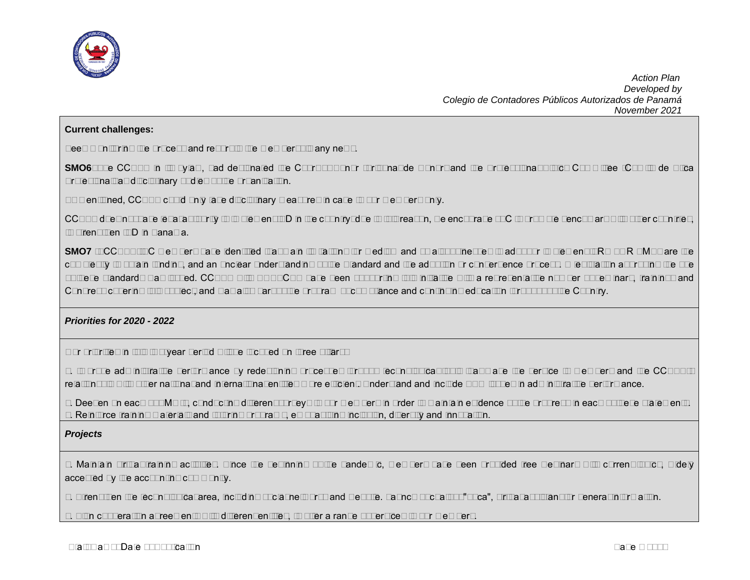

#### **Current challenges:**

Keep monitoring the process and report to the membership any news.

**SMO6**–The CCPAP in its bylaw, had designated the Court of Honor (Tribunal de Honor) and the Professional Ethics Committee (Comité de Etica Profesional) as disciplinary bodies of the organization.

As mentioned, CCPAP could only take disciplinary measures in case to our members only.

CCPAP does not have legal authority to implement I&D in the country; due to this reason, we encourage JTC to promote benchmark with other countries, to strengthen I&D in Panama.

**SMO7** -- CCPAP-ISC members have identified that main limitations for medium and small businesses to adopt or implement IFRS FOR SMEs are the complexity to obtain funding, and an unclear understanding of the Standard and the adoption or convergence process. A legislation approving the use of these standards was issued. CCPAP with UNESCPA have been supporting this initiative with a representative number of seminars, trainings and Congress covering this subject, and was also part of the program of compliance and continuing education throughout the Country.

#### *Priorities for 2020 - 2022*

Our priorities in this two-year period will be focused on three pillars:

1. Improve administrative performance by redesigning processes through technological tools that make the service to members and the CCPAP´s relationship with other national and international entities more efficient. Understand and include ESG issues in administrative performance.

2. Deepen on each of SMO´s, conducting different surveys to our members in order to maintain evidence of the progress in each of these statements. 3. Reinforce training materials and tutoring programs, emphasizing inclusion, diversity and innovation.

#### *Projects*

1. Maintain virtual training activities. Since the beginning of the pandemic, members have been provided free webinars with current topics, widely accepted by the accounting community.

2. Strengthen the technological area, including social networks and website. Launch of chatbot "Luca", virtual assistant for general information.

3. Sign cooperation agreements with different entities, to offer a range of services to our members.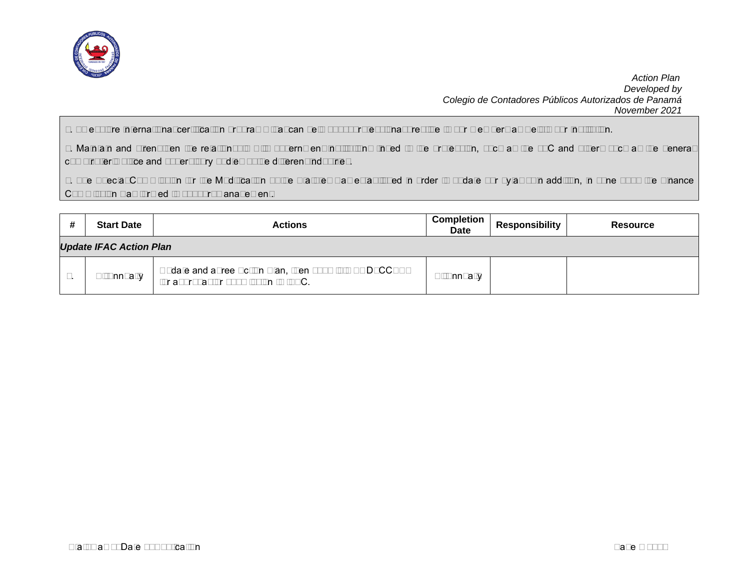

4. To explore international certification programs that can help boost professional prestige to our members as well to our institution.

5. Maintain and strengthen the relationship with government institutions linked to the profession, such as the JTC and others such as the general comptroller's office and supervisory bodies of the different industries.

6. The Special Commission for the Modification of the Statutes was established in order to update our bylaws; in addition, in June 2021 the Finance Commission was formed to support management.

| <b>Start Date</b>              | <b>Actions</b>                                                                                 | Completion<br><b>Date</b> | <b>Responsibility</b> | <b>Resource</b> |  |  |  |
|--------------------------------|------------------------------------------------------------------------------------------------|---------------------------|-----------------------|-----------------|--|--|--|
| <b>Update IFAC Action Plan</b> |                                                                                                |                           |                       |                 |  |  |  |
| Bi-Annually                    | Update and agree Action Plan, then submit to BOD_CCPAP<br>for approval for submission to IFAC. | Bi-Annually               |                       |                 |  |  |  |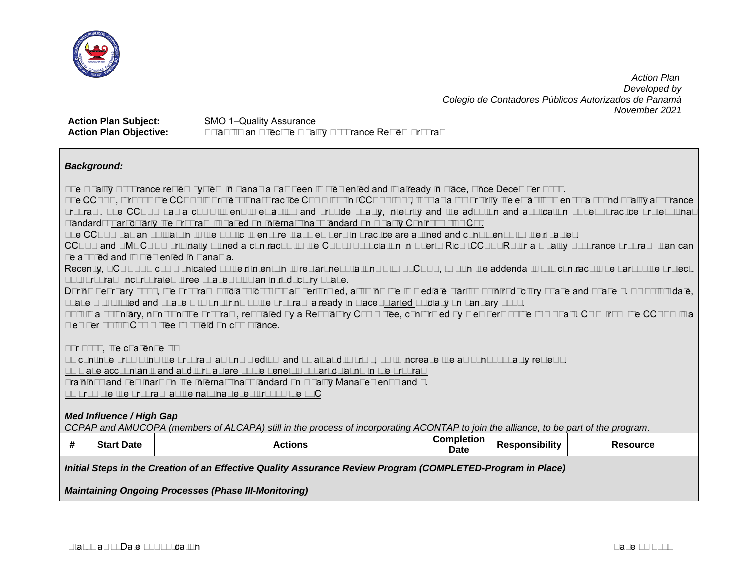

**Action Plan Subject:** SMO 1-Quality Assurance

**Action Plan Objective:** Establish an Effective Quality Assurance Review Program

## *Background:*

The Quality Assurance review system in Panama has been implemented and is already in place, since December 2016.

The CCPAP, through the CCPAP's Professional Practice Commission (CCPAP-PP), took as a top priority the establishment of a sound quality assurance program. The CCPAP has a commitment to establish and provide quality, integrity and the adoption and application of best practice professional standards; particularly the program is based on International Standard on Quality Control 1 (ISQC1).

The CCPAP has an obligation to the public to ensure that members in practice are aligned and consistent with their values.

CCPAP and AMUCOPA originally signed a contract with the CPA´s Association in Puerto Rico (CCPAPR) for a Quality Assurance program than can be applied and implemented in Panama.

Recently, ACONTAP communicated of their intention to restart negotiations with ALCAPA, to sign the addenda to this contract to be part of the project. This program incorporates three phases plus an introductory phase.

During February 2013, the program official Kick-Off was performed, allowing the immediate startup of introductory phase and phase 1. As of this date, phase 2 is fulfilled and phase 3 (monitoring of the program already in place) started officially on January 2016.

This is a voluntary, non-punitive program, regulated by a Regulatory Committee, conformed by members of the two Apa's. COO from the CCPAP is a member of this Committee to shield on compliance.

For 2022, the challenge is:

To continue promoting the program among medium and small audits firms, so to increase the amount of quality reviews.

To make accountants and auditors aware of the benefits of participating in the program

Trainings and seminars on the International Standard on Quality Management 1 and 2.

To promote the program at the national level through the JTC

## *Med Influence / High Gap*

*CCPAP and AMUCOPA (members of ALCAPA) still in the process of incorporating ACONTAP to join the alliance, to be part of the program*.

| <b>Start Date</b>                                                                                           | <b>Actions</b> | <b>Completion</b><br>Date | <b>Responsibility</b> | <b>Resource</b> |  |  |  |
|-------------------------------------------------------------------------------------------------------------|----------------|---------------------------|-----------------------|-----------------|--|--|--|
| Initial Steps in the Creation of an Effective Quality Assurance Review Program (COMPLETED-Program in Place) |                |                           |                       |                 |  |  |  |
| <b>Maintaining Ongoing Processes (Phase III-Monitoring)</b>                                                 |                |                           |                       |                 |  |  |  |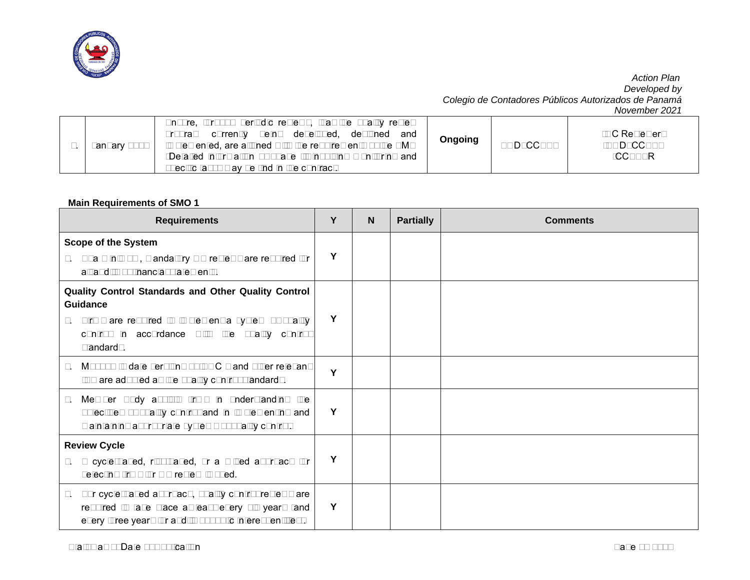

| January 2016 | Ensure, through periodic reviews, that the quality review<br>currently being developed,<br>desianed<br>and<br>program<br>implemented, are aligned with the requirements of the SMO<br>*Detailed information of phase III involving monitoring and<br>specific tasks may be find in the contract. | Ongoing | <b>BOD CCPAP</b> | -QC Reviewers<br>-BOD CCPAP<br>-CCPAPR |
|--------------|--------------------------------------------------------------------------------------------------------------------------------------------------------------------------------------------------------------------------------------------------------------------------------------------------|---------|------------------|----------------------------------------|
|--------------|--------------------------------------------------------------------------------------------------------------------------------------------------------------------------------------------------------------------------------------------------------------------------------------------------|---------|------------------|----------------------------------------|

## **Main Requirements of SMO 1**

| <b>Requirements</b>                                                                                                                                                                          | Y | $\mathbf N$ | <b>Partially</b> | <b>Comments</b> |
|----------------------------------------------------------------------------------------------------------------------------------------------------------------------------------------------|---|-------------|------------------|-----------------|
| <b>Scope of the System</b><br>1. At a minimum, mandatory QA reviews are required for<br>all audits of financial statements.                                                                  | Υ |             |                  |                 |
| Quality Control Standards and Other Quality Control<br>Guidance<br>Firms are required to implement a system of quality<br>2.<br>control in accordance with the quality control<br>standards. |   |             |                  |                 |
| Most up to date versions of ISQC 1 and other relevant<br>3.<br>ISA are adopted as the quality control standards.                                                                             | Y |             |                  |                 |
| Member Body assists firms in understanding the<br>4.<br>objectives of quality control and in implementing and<br>maintaining appropriate systems of quality control.                         | Y |             |                  |                 |
| <b>Review Cycle</b><br>A cycle-based, risk-based, or a mixed approach for<br>5.<br>selecting firms for QA review is used.                                                                    | Υ |             |                  |                 |
| For cycle-based approach, quality control reviews are<br>6.<br>required to take place at least every six years (and<br>every three years for audits of public interest entities).            | Y |             |                  |                 |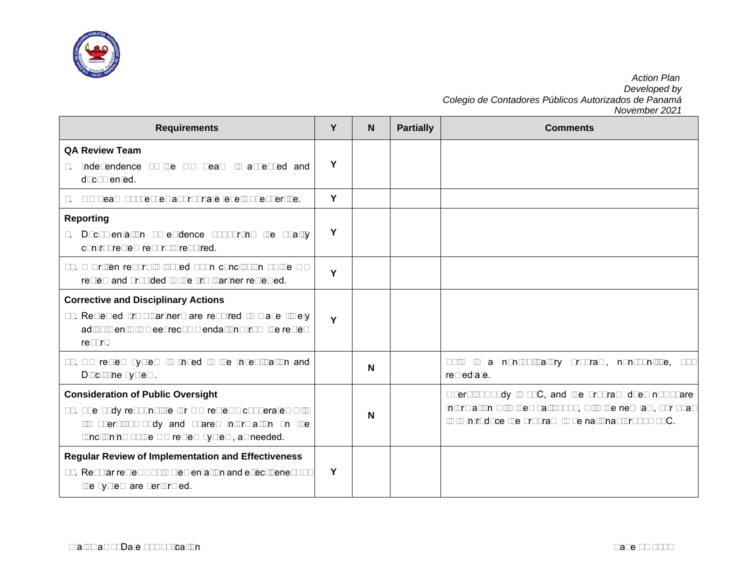

| <b>Requirements</b>                                                                                                                                                                                        | Υ | N | <b>Partially</b> | <b>Comments</b>                                                                                                                                                                 |
|------------------------------------------------------------------------------------------------------------------------------------------------------------------------------------------------------------|---|---|------------------|---------------------------------------------------------------------------------------------------------------------------------------------------------------------------------|
| <b>QA Review Team</b><br>Independence of the QA Team is assessed and<br>$7_{\cdot}$<br>documented.                                                                                                         | Y |   |                  |                                                                                                                                                                                 |
| QA Team possesses appropriate levels of expertise.<br>8.                                                                                                                                                   | Y |   |                  |                                                                                                                                                                                 |
| <b>Reporting</b><br>Documentation of evidence supporting the quality<br>9.<br>control review report is required.                                                                                           | Y |   |                  |                                                                                                                                                                                 |
| 10. A written report is issued upon conclusion of the QA<br>review and provided to the firm/partner reviewed.                                                                                              | Y |   |                  |                                                                                                                                                                                 |
| <b>Corrective and Disciplinary Actions</b><br>11. Reviewed firms/partners are required to make timely<br>adjustments to meet recommendations from the review<br>report.                                    | Y |   |                  |                                                                                                                                                                                 |
| 12. QA review system is linked to the Investigation and<br>Discipline system.                                                                                                                              |   | N |                  | non-obligatory<br>program, non-punitive,<br>This is a<br>but<br>remediate.                                                                                                      |
| <b>Consideration of Public Oversight</b><br>13. The body responsible for QA reviews cooperates with<br>its oversight body and shares information on the<br>functioning of the QA review system, as needed. |   | N |                  | Oversight body is JTC, and the program does not share<br>information with them; although, with the new law, our goal<br>is to introduce the program to be national through JTC. |
| <b>Regular Review of Implementation and Effectiveness</b><br>14. Regular reviews of implementation and effectiveness of<br>the system are performed.                                                       | Y |   |                  |                                                                                                                                                                                 |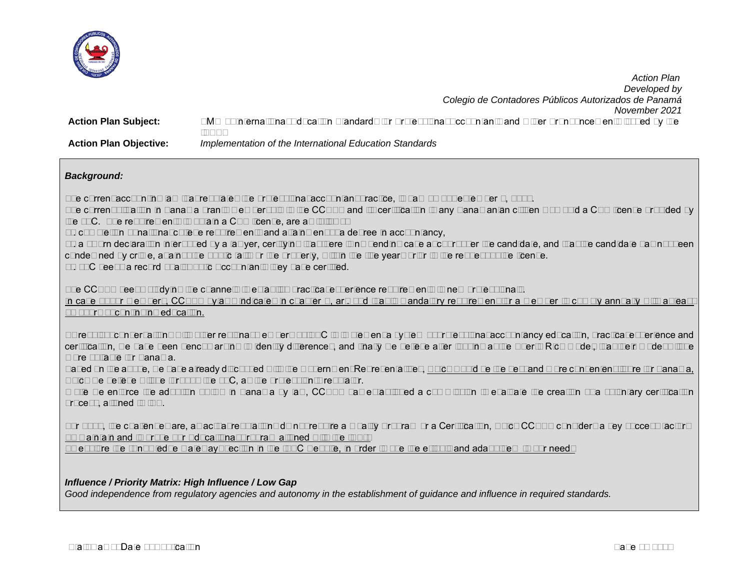

 *Action Plan Developed by Colegio de Contadores Públicos Autorizados de Panamá November 2021* **Action Plan Subject:** SMO 2- International Education Standards for Professional Accountants and Other Pronouncements issued by the IAESB **Action Plan Objective:** *Implementation of the International Education Standards*

## *Background:*

The current accounting law that regulates the professional accountant practice, is Law 57 of September 1, 1978.

The current situation in Panama grants membership to the CCPAP and its certification to any Panamanian citizen who hold a CPA license provided by the JTC. The requirements to obtain a CPA license, are as follows:

1). completion of national college requirements and attainment of a degree in accountancy,

2). a sworn declaration interposed by a lawyer, certifying that there is no pending case at court over the candidate, and that the candidate has not been condemned by crime, against the public faith or the property, within the five years prior to the request of the license.

3). JTC keeps a record of all Public Accountants they have certified.

The CCPAP keeps studying the channels to establish practical experience requirements to new professionals.

In case of our members, CCPAP bylaws indicates in chapter V, art. 14d that is mandatory requirement for a member to comply annually with at least 40 hours of continuing education.

As result of conversations with other regional members of IFAC to implement a system of professional accountancy education, practical experience and certification, we have been benchmarking to identify differences, and finally we believe after looking at the Puerto Rico model, that their model will be more suitable for Panama.

Based on the above, we have already discussed with the Government Representatives, which would be the best and more convenient figure for Panama, which we believe will be through the JTC, as the profession's regulator.

While we enforce the adoption of IES in Panama by law, CCPAP has established a commission to evaluate the creation of a voluntary certification process, aligned to IES.

For 2022, the challenges are, as actual regulations do not require a Quality Program or a Certification, which CCPAP considers a key success factor: To maintain and improve our Educational Program aligned with the IES´s

To explore the "Knowledge Gateway" section in the IFAC website, in order to use the e-tools and adapt them to our needs

## *Influence / Priority Matrix: High Influence / Low Gap*

*Good independence from regulatory agencies and autonomy in the establishment of guidance and influence in required standards.*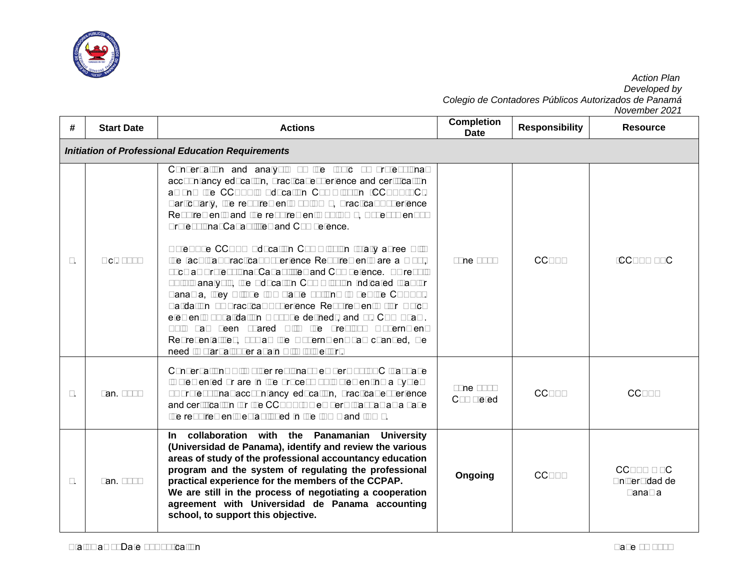

| #  | <b>Start Date</b>                                        | <b>Actions</b>                                                                                                                                                                                                                                                                                                                                                                                                                                                                                                                                                                                                                                                                                                                                                                                                                                                                                                                                                                 | <b>Completion</b><br><b>Date</b> | <b>Responsibility</b> | IVUVUIIIUUI ZUZI<br><b>Resource</b>      |  |  |  |
|----|----------------------------------------------------------|--------------------------------------------------------------------------------------------------------------------------------------------------------------------------------------------------------------------------------------------------------------------------------------------------------------------------------------------------------------------------------------------------------------------------------------------------------------------------------------------------------------------------------------------------------------------------------------------------------------------------------------------------------------------------------------------------------------------------------------------------------------------------------------------------------------------------------------------------------------------------------------------------------------------------------------------------------------------------------|----------------------------------|-----------------------|------------------------------------------|--|--|--|
|    | <b>Initiation of Professional Education Requirements</b> |                                                                                                                                                                                                                                                                                                                                                                                                                                                                                                                                                                                                                                                                                                                                                                                                                                                                                                                                                                                |                                  |                       |                                          |  |  |  |
| 1. | Oct. 2016                                                | Conversation and analysis of the topic of professional<br>accountancy education, practical experience and certification<br>among the CCPAP's Education Commission (CCPAP-EC).<br>Particularly, the requirements of IES 5, Practical Experience<br>Requirements and the requirements of IES 6, Assessment of<br>Professional Capabilities and Competence.<br>Note: The CCPAP Education Commission totally agree with<br>the fact that Practical Experience Requirements are a must,<br>such as Professional Capabilities and Competence. As result<br>of this analysis, the Education Commission indicated that for<br>Panama, they will be two viable options to get the CPA: 1).<br>Validation of Practical Experience Requirements (for which<br>elements of validation must be defined), and 2). CPA Exam.<br>This has been shared with the previous Government<br>Representatives, but as the Government has changed, we<br>need to start all over again with this effort. | <b>June 2018</b>                 | <b>CCPAP</b>          | -CCPAP - EC                              |  |  |  |
| 2. | Jan. 2017                                                | Conversations with other regional members of IFAC that have<br>implemented or are in the process of implementing a system<br>of professional accountancy education, practical experience<br>and certification for the CCPAP's members that has as a base<br>the requirements established in the IES 5 and IES 6.                                                                                                                                                                                                                                                                                                                                                                                                                                                                                                                                                                                                                                                               | <b>June 2017</b><br>Completed    | <b>CCPAP</b>          | <b>CCPAP</b>                             |  |  |  |
| 3. | Jan. 2018                                                | collaboration with the Panamanian University<br>In In<br>(Universidad de Panama), identify and review the various<br>areas of study of the professional accountancy education<br>program and the system of regulating the professional<br>practical experience for the members of the CCPAP.<br>We are still in the process of negotiating a cooperation<br>agreement with Universidad de Panama accounting<br>school, to support this objective.                                                                                                                                                                                                                                                                                                                                                                                                                                                                                                                              | Ongoing                          | <b>CCPAP</b>          | $CCPAP - EC$<br>Universidad de<br>Panama |  |  |  |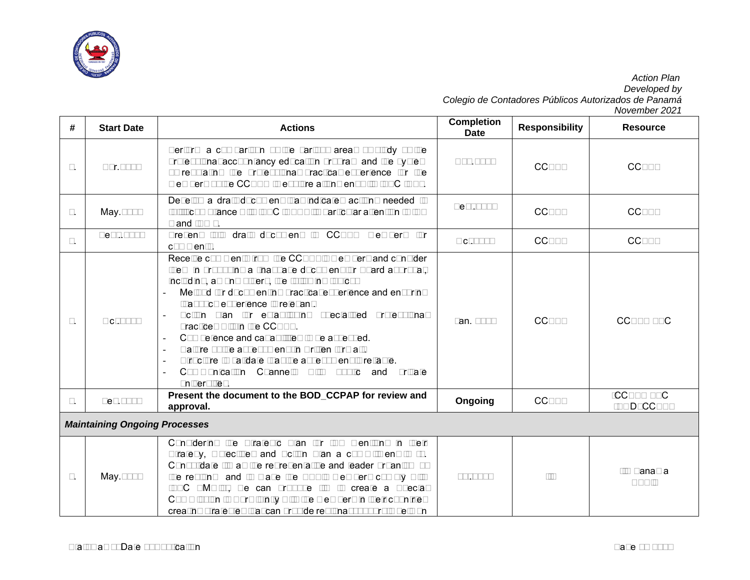

| #  | <b>Start Date</b>                    | <b>Actions</b>                                                                                                                                                                                                                                                                                                                                                                                                                                                                                                                                                                                | <b>Completion</b><br><b>Date</b> | <b>Responsibility</b> | <b>Resource</b>            |  |
|----|--------------------------------------|-----------------------------------------------------------------------------------------------------------------------------------------------------------------------------------------------------------------------------------------------------------------------------------------------------------------------------------------------------------------------------------------------------------------------------------------------------------------------------------------------------------------------------------------------------------------------------------------------|----------------------------------|-----------------------|----------------------------|--|
| 4. | Apr.2018                             | Perform a comparison of the various areas of study of the<br>professional accountancy education program and the system<br>of regulating the professional practical experience for the<br>members of the CCPAP to explore alignment with IFAC IESs.                                                                                                                                                                                                                                                                                                                                            | Aug.2018                         | <b>CCPAP</b>          | <b>CCPAP</b>               |  |
| 5. | May.2018                             | Develop a draft document that indicates actions needed to<br>fulfill compliance with IFAC IESs with particular attention to IES<br>5 and IES 6.                                                                                                                                                                                                                                                                                                                                                                                                                                               | Sept.2018                        | <b>CCPAP</b>          | <b>CCPAP</b>               |  |
| 6. | Sept2018                             | Present this draft document to CCPAP members for<br>comments.                                                                                                                                                                                                                                                                                                                                                                                                                                                                                                                                 | Oct.2018                         | <b>CCPAP</b>          | <b>CCPAP</b>               |  |
| 7. | Oct.2018                             | Receive comments from the CCPAP's members and consider<br>them in proposing a final base document for Board approval,<br>including, among others, the following topics:<br>Method for documenting practical experience and ensuring<br>that such experience is relevant.<br>Action plan for establishing specialized professional<br>practices within the CCPAP.<br>Competence and capabilities to be assessed.<br>Nature of the assessment (in written format).<br>Structure to validate that the assessment is reliable.<br>Communication Channels with public and private<br>universities. | Jan. 2018                        | <b>CCPAP</b>          | CCPAP - EC                 |  |
| 8. | Feb.2019                             | Present the document to the BOD_CCPAP for review and<br>approval.                                                                                                                                                                                                                                                                                                                                                                                                                                                                                                                             | Ongoing                          | <b>CCPAP</b>          | -CCPAP - EC<br>-BOD CCPAP  |  |
|    | <b>Maintaining Ongoing Processes</b> |                                                                                                                                                                                                                                                                                                                                                                                                                                                                                                                                                                                               |                                  |                       |                            |  |
| 9. | May.2018                             | Considering the Strategic Plan for IAA mentions in their<br>Strategy, Objectives and Action Plan a commitment to "1.<br>Consolidate IIA as the representative and leader organism of<br>the region and to make the APA's members comply with<br>IFAC SMO's", we can propose IIA to create a Special<br>Commission to work jointly with the members in their countries<br>creating strategies that can provide regional support to help on                                                                                                                                                     | Jul.2018                         | <b>IIA</b>            | <b>IIA Panama</b><br>APA's |  |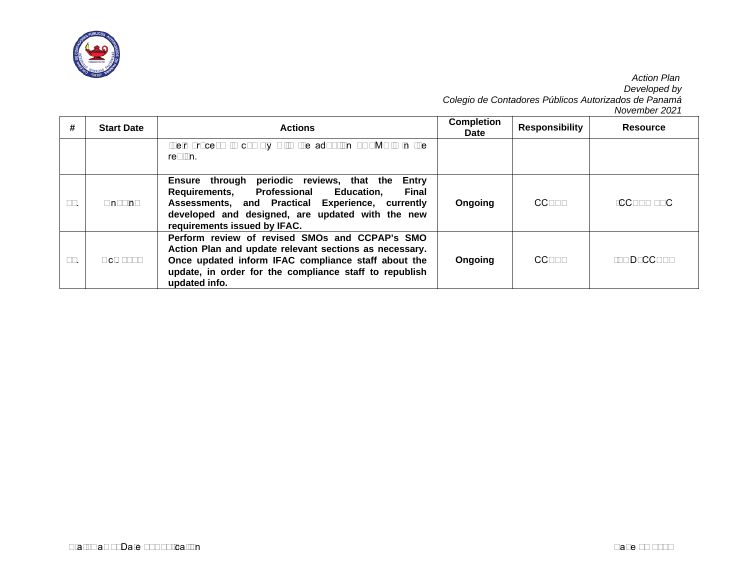

| #   | <b>Start Date</b> | <b>Actions</b>                                                                                                                                                                                                                                                                 | <b>Completion</b><br><b>Date</b> | <b>Responsibility</b> | <b>Resource</b> |
|-----|-------------------|--------------------------------------------------------------------------------------------------------------------------------------------------------------------------------------------------------------------------------------------------------------------------------|----------------------------------|-----------------------|-----------------|
|     |                   | their process to comply with the adoption of SMO's in the<br>region.                                                                                                                                                                                                           |                                  |                       |                 |
| 10. | Ongoing           | Ensure through<br>periodic reviews, that the<br><b>Entry</b><br><b>Professional Education,</b><br><b>Final</b><br><b>Requirements,</b><br>Assessments, and Practical Experience, currently<br>developed and designed, are updated with the new<br>requirements issued by IFAC. | Ongoing                          | <b>CCPAP</b>          | $-CCPAP - EC$   |
| 11. | Oct. 2017         | Perform review of revised SMOs and CCPAP's SMO<br>Action Plan and update relevant sections as necessary.<br>Once updated inform IFAC compliance staff about the<br>update, in order for the compliance staff to republish<br>updated info.                                     | Ongoing                          | CCPAP                 | -BOD CCPAP      |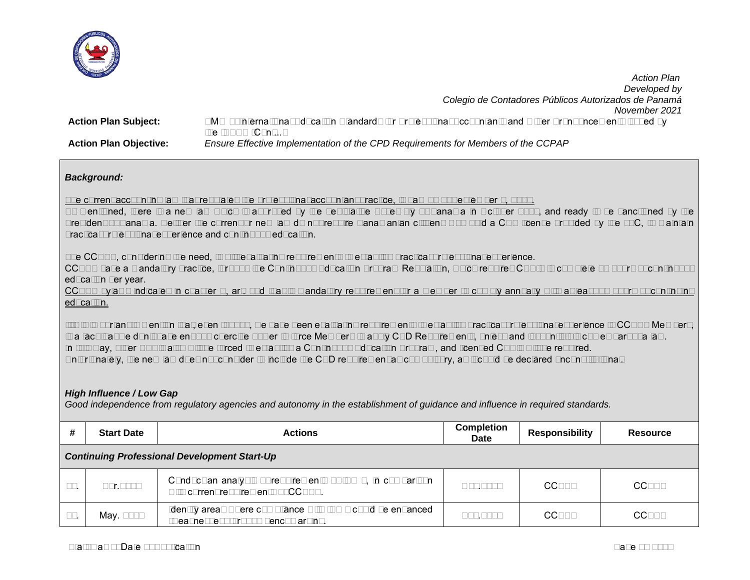

*Developed by Colegio de Contadores Públicos Autorizados de Panamá November 2021* **Action Plan Subject:** SMO 2–International Education Standards for Professional Accountants and Other Pronouncements issued by the IAESB (Cont...) **Action Plan Objective:** *Ensure Effective Implementation of the CPD Requirements for Members of the CCPAP*

## *Background:*

The current accounting law that regulates the professional accountant practice, is Law 57 of September 1, 1978.

As mentioned, there is a new law which is approved by the Legislative Assembly of Panama in October 2021, and ready to be sanctioned by the President of Panama. Neither the current or new law do not require Panamanian citizens who hold a CPA license provided by the JTC, to maintain practical professional experience and continuous education.

The CCPAP, considering the need, is still evaluating requirements to establish practical professional experience.

CCPAP have a mandatory practice, through the Continuous Education Program Regulation, which requires CPA´s to complete 40 hours of continuous education per year.

CCPAP bylaws indicates in chapter V, art. 14d that is mandatory requirement for a member to comply annually with at least 40 hours of continuing education.

It´s is important to mention that, even though, we have been evaluating requirements to establish practical professional experience to CCPAP Members, is a fact that we don't have enough coercive power to force Members to apply CPD Requirements, unless and just until this comes part of a law. In this way, other APA's also will be forced to establish a Continuous Education Program, and licensed CPA's will be required. Unfortunately, the new law does not consider to include the CPD requirement as compulsory, as it could be declared unconstitutional.

## *High Influence / Low Gap*

*Good independence from regulatory agencies and autonomy in the establishment of guidance and influence in required standards.*

| #   | <b>Start Date</b>                                   | <b>Actions</b>                                                                                     | <b>Completion</b><br><b>Date</b> | <b>Responsibility</b> | Resource     |  |  |
|-----|-----------------------------------------------------|----------------------------------------------------------------------------------------------------|----------------------------------|-----------------------|--------------|--|--|
|     | <b>Continuing Professional Development Start-Up</b> |                                                                                                    |                                  |                       |              |  |  |
| 15. | Apr.2018                                            | Conduct an analysis of requirements of IES 7, in comparison<br>with current requirements of CCPAP. | Nov.2018                         | CCPAP                 | CCPAP        |  |  |
| 16. | May. 2018                                           | Identify areas where compliance with IES 7 could be enhanced<br>(weaknesses) through benchmarking. | Aug.2018                         | <b>CCPAP</b>          | <b>CCPAP</b> |  |  |

 *Action Plan*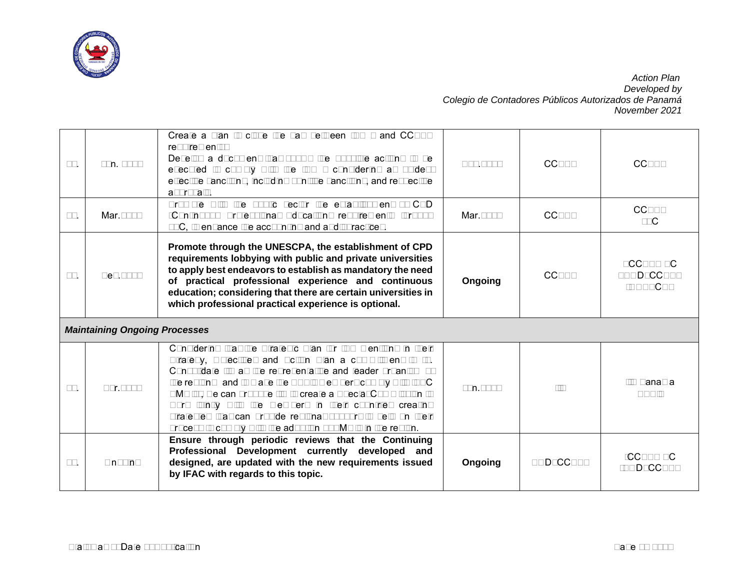

| 17. | Jun. 2018                            | Create a plan to close the gap between IES 7 and CCPAP<br>requirements:<br>Develop a document that shows the possible actions to be<br>executed to comply with the IES 7 considering as guides:<br>effective sanctions, including punitive sanctions, and respective<br>approvals.                                                                                                                                                                                                                                  | Ago.2016 | <b>CCPAP</b>     | <b>CCPAP</b>                          |
|-----|--------------------------------------|---------------------------------------------------------------------------------------------------------------------------------------------------------------------------------------------------------------------------------------------------------------------------------------------------------------------------------------------------------------------------------------------------------------------------------------------------------------------------------------------------------------------|----------|------------------|---------------------------------------|
| 18. | Mar.2016                             | Promote with the public sector the establishment of CPD<br>(Continuous Professional Education) requirements through<br>JTC, to enhance the accounting and audit practices.                                                                                                                                                                                                                                                                                                                                          | Mar.2017 | <b>CCPAP</b>     | <b>CCPAP</b><br><b>JTC</b>            |
| 19. | Sep.2016                             | Promote through the UNESCPA, the establishment of CPD<br>requirements lobbying with public and private universities<br>to apply best endeavors to establish as mandatory the need<br>of practical professional experience and continuous<br>education; considering that there are certain universities in<br>which professional practical experience is optional.                                                                                                                                                   | Ongoing  | <b>CCPAP</b>     | - CCPAP EC<br>- BOD CCPAP<br>-UNESCPA |
|     | <b>Maintaining Ongoing Processes</b> |                                                                                                                                                                                                                                                                                                                                                                                                                                                                                                                     |          |                  |                                       |
| 20. | Apr.2016                             | Considering that the Strategic Plan for IAA mentions in their<br>Strategy, Objectives and Action Plan a commitment to "1.<br>Consolidate IIA as the representative and leader organism of<br>the region and to make the APA's members comply with IFAC<br>SMO's", we can propose IIA to create a Special Commission to<br>work jointly with the members in their countries creating<br>strategies that can provide regional support to help on their<br>process to comply with the adoption of SMO's in the region. | Jun.2016 | <b>IIA</b>       | <b>IIA Panama</b><br>APA's            |
| 21. | Ongoing                              | Ensure through periodic reviews that the Continuing<br>Professional Development currently developed and<br>designed, are updated with the new requirements issued<br>by IFAC with regards to this topic.                                                                                                                                                                                                                                                                                                            | Ongoing  | <b>BOD CCPAP</b> | -CCPAP EC<br>-BOD CCPAP               |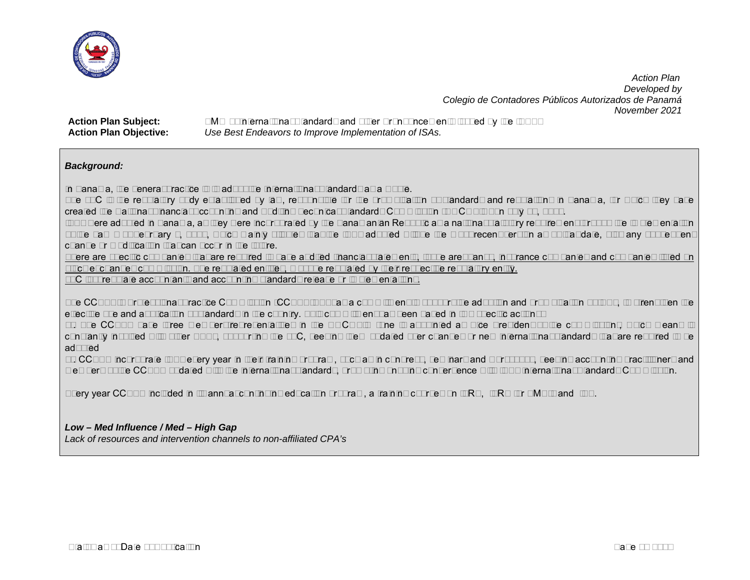

**Action Plan Subject:** SMO 3–International Standards and other Pronouncements Issued by the IAASB **Action Plan Objective:** *Use Best Endeavors to Improve Implementation of ISAs.*

## *Background:*

In Panama, the general practice is to adopt the International Standards as a whole.

The JTC is the regulatory body established by law, responsible for the promulgation of standards and regulations in Panama, for which they have created the National Financial Accounting and Auditing Technical Standards Commission (NOCOFIN) on July 10, 1986.

ISAs were adopted in Panama, as they were incorporated by the Panamanian Republic as a national statutory requirement through the implementation of the Law 6 of February 2, 2005, which mainly stipules that the ISAs adopted will be the most recent version as of that date, plus any subsequent change or modification that can occur in the future.

There are specific companies that are required to have audited financial statements, those are: banks, insurance companies and companies listed on stock exchanges commission. The regulated entities, must be regulated by their respective regulatory entity.

JTC just regulate accountants and accounting standards release or implementations.

The CCPAP´s Professional Practice Commission (CCPAP-PP) has a commitment to support the adoption and promulgation of ISAs, to strengthen the effective use and application of standards in the country. This commitment has been based in two specific actions:

1). The CCPAP have three members/representatives in the NOCOFIN (one is appointed as Vice President of the commission), which means is constantly involved with other APAs, supporting the JTC, keeping them updated over changes or new international standards that are required to be adopted

2). CCPAP incorporate ISAs every year in their training program, such as in congress, seminars and workshops, keeping accounting practitioners and members of the CCPAP updated with the international standards, promoting ongoing convergence with ISAs International Standards Commission.

Every year CCPAP included in its annual continuing education program, a training courses on IFRS, IFRS for SME´s and ISA.

## *Low – Med Influence / Med – High Gap*

*Lack of resources and intervention channels to non-affiliated CPA's*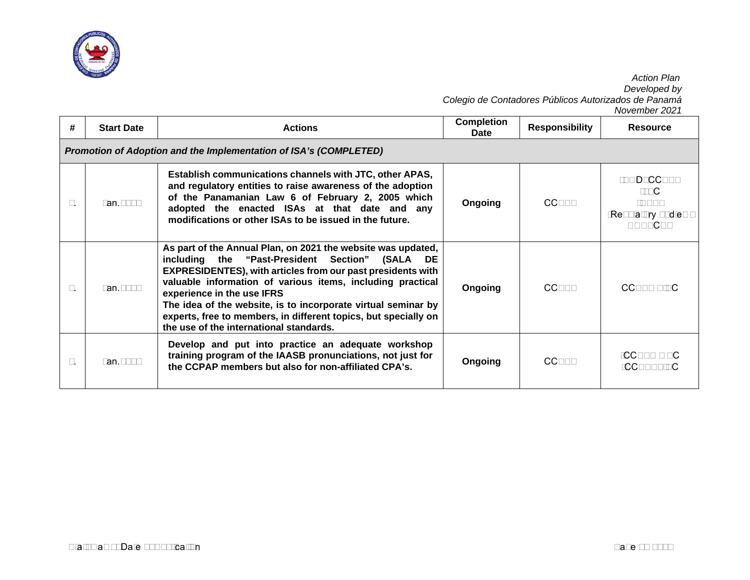

|    |                                                                   |                                                                                                                                                                                                                                                                                                                                                                                                                                                                      |                           |                       | November 2021                                                         |  |  |  |  |
|----|-------------------------------------------------------------------|----------------------------------------------------------------------------------------------------------------------------------------------------------------------------------------------------------------------------------------------------------------------------------------------------------------------------------------------------------------------------------------------------------------------------------------------------------------------|---------------------------|-----------------------|-----------------------------------------------------------------------|--|--|--|--|
| #  | <b>Start Date</b>                                                 | <b>Actions</b>                                                                                                                                                                                                                                                                                                                                                                                                                                                       | <b>Completion</b><br>Date | <b>Responsibility</b> | <b>Resource</b>                                                       |  |  |  |  |
|    | Promotion of Adoption and the Implementation of ISA's (COMPLETED) |                                                                                                                                                                                                                                                                                                                                                                                                                                                                      |                           |                       |                                                                       |  |  |  |  |
| 1. | Jan. 2016                                                         | Establish communications channels with JTC, other APAS,<br>and regulatory entities to raise awareness of the adoption<br>of the Panamanian Law 6 of February 2, 2005 which<br>adopted the enacted ISAs at that date and any<br>modifications or other ISAs to be issued in the future.                                                                                                                                                                               | Ongoing                   | <b>CCPAP</b>          | -BOD_CCPAP<br>-JTC<br>-APAs<br>-Regulatory bodies -<br><b>UNESCPA</b> |  |  |  |  |
| 2. | Jan. 2018                                                         | As part of the Annual Plan, on 2021 the website was updated,<br>including the "Past-President Section" (SALA<br>DE.<br><b>EXPRESIDENTES), with articles from our past presidents with</b><br>valuable information of various items, including practical<br>experience in the use IFRS<br>The idea of the website, is to incorporate virtual seminar by<br>experts, free to members, in different topics, but specially on<br>the use of the international standards. | Ongoing                   | <b>CCPAP</b>          | CCPAP - ISC                                                           |  |  |  |  |
| 3. | Jan. 2018                                                         | Develop and put into practice an adequate workshop<br>training program of the IAASB pronunciations, not just for<br>the CCPAP members but also for non-affiliated CPA's.                                                                                                                                                                                                                                                                                             | Ongoing                   | <b>CCPAP</b>          | $-CCPAP - EC$<br>-CCPAP- ISC                                          |  |  |  |  |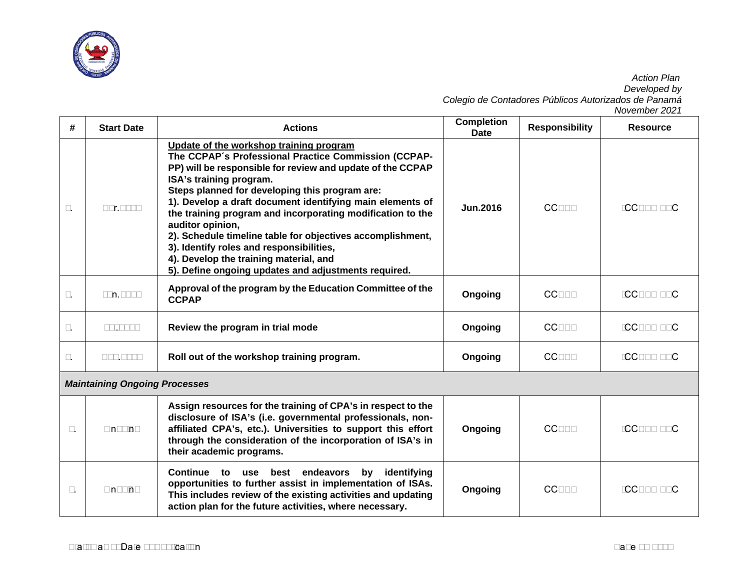

| #                | <b>Start Date</b>                    | <b>Actions</b>                                                                                                                                                                                                                                                                                                                                                                                                                                                                                                                                                                                        | <b>Completion</b><br><b>Date</b> | <b>Responsibility</b> | <b>Resource</b> |
|------------------|--------------------------------------|-------------------------------------------------------------------------------------------------------------------------------------------------------------------------------------------------------------------------------------------------------------------------------------------------------------------------------------------------------------------------------------------------------------------------------------------------------------------------------------------------------------------------------------------------------------------------------------------------------|----------------------------------|-----------------------|-----------------|
| $\overline{4}$ . | Apr.2018                             | Update of the workshop training program<br>The CCPAP's Professional Practice Commission (CCPAP-<br>PP) will be responsible for review and update of the CCPAP<br>ISA's training program.<br>Steps planned for developing this program are:<br>1). Develop a draft document identifying main elements of<br>the training program and incorporating modification to the<br>auditor opinion,<br>2). Schedule timeline table for objectives accomplishment,<br>3). Identify roles and responsibilities,<br>4). Develop the training material, and<br>5). Define ongoing updates and adjustments required. | <b>Jun.2016</b>                  | <b>CCPAP</b>          | -CCPAP - EC     |
| 5.               | Jun.2018                             | Approval of the program by the Education Committee of the<br><b>CCPAP</b>                                                                                                                                                                                                                                                                                                                                                                                                                                                                                                                             | Ongoing                          | <b>CCPAP</b>          | -CCPAP - EC     |
| 6.               | Jul.2018                             | Review the program in trial mode                                                                                                                                                                                                                                                                                                                                                                                                                                                                                                                                                                      | Ongoing                          | <b>CCPAP</b>          | -CCPAP - EC     |
| 7.               | Aug.2018                             | Roll out of the workshop training program.                                                                                                                                                                                                                                                                                                                                                                                                                                                                                                                                                            | Ongoing                          | <b>CCPAP</b>          | -CCPAP - EC     |
|                  | <b>Maintaining Ongoing Processes</b> |                                                                                                                                                                                                                                                                                                                                                                                                                                                                                                                                                                                                       |                                  |                       |                 |
| 8.               | Ongoing                              | Assign resources for the training of CPA's in respect to the<br>disclosure of ISA's (i.e. governmental professionals, non-<br>affiliated CPA's, etc.). Universities to support this effort<br>through the consideration of the incorporation of ISA's in<br>their academic programs.                                                                                                                                                                                                                                                                                                                  | Ongoing                          | <b>CCPAP</b>          | -CCPAP - EC     |
| 9.               | Ongoing                              | Continue to use best endeavors<br>by<br>identifying<br>opportunities to further assist in implementation of ISAs.<br>This includes review of the existing activities and updating<br>action plan for the future activities, where necessary.                                                                                                                                                                                                                                                                                                                                                          | Ongoing                          | <b>CCPAP</b>          | -CCPAP - EC     |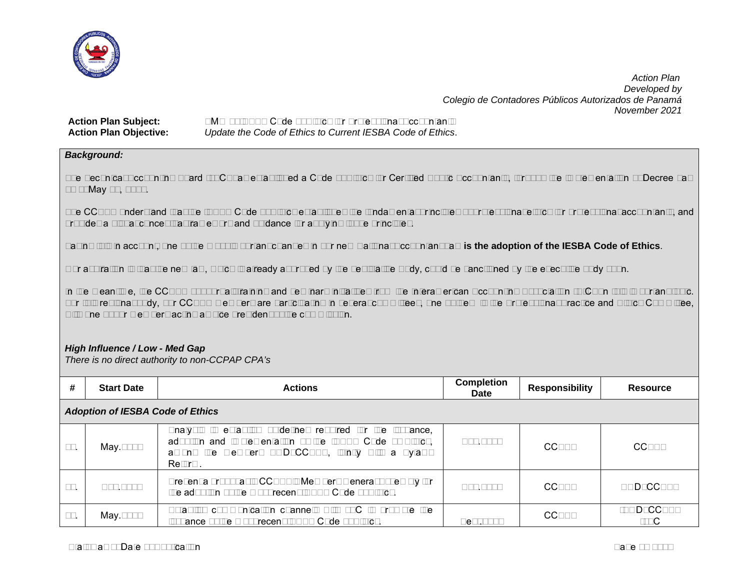

## **Action Plan Subject:** SMO 4–IESBA Code of Ethics for Professional Accountants **Action Plan Objective:** *Update the Code of Ethics to Current IESBA Code of Ethics*.

## *Background:*

The Technical Accounting Board (JTC) has established a Code of Ethics for Certified Public Accountants, through the implementation of Decree Law 26 of May 17, 1984.

The CCPAP understand that the IESBA Code of Ethics establishes the fundamental principles of professional ethics for professional accountants, and provides a global conceptual framework and guidance for applying those principles.

Taking this in account, one of the most important changes in our new National Accountant Law **is the adoption of the IESBA Code of Ethics**.

Our aspiration is that the new law, which is already approved by the Legislative Body, could be sanctioned by the executive body soon.

In the meantime, the CCPAP support all training and seminars initiatives from the Interamerican Accounting Association (AIC) on this important topic. For this regional body, our CCPAP members are participating in several committees, one of them is the Professional Practice and Ethics Committee, with one of our members acting as vice president of the commission.

## *High Influence / Low - Med Gap*

*There is no direct authority to non-CCPAP CPA's*

| #   | <b>Start Date</b>                       | <b>Actions</b>                                                                                                                                                                           | <b>Completion</b><br>Date | <b>Responsibility</b> | Resource           |  |  |  |  |  |
|-----|-----------------------------------------|------------------------------------------------------------------------------------------------------------------------------------------------------------------------------------------|---------------------------|-----------------------|--------------------|--|--|--|--|--|
|     | <b>Adoption of IESBA Code of Ethics</b> |                                                                                                                                                                                          |                           |                       |                    |  |  |  |  |  |
| 33. | May.2018                                | Analysis to establish guidelines required for the issuance,<br>adoption and implementation of the IESBA Code of Ethics,<br>among the members BOD_CCPAP, jointly with a Bylaws<br>Reform. | Aug.2018                  | CCPAP                 | CCPAP              |  |  |  |  |  |
| 34. | Aug.2018                                | Present a proposal to CCPAP's Members General Assembly for<br>the adoption of the most recent IESBA Code of Ethics.                                                                      | Aug. 2018                 | <b>CCPAP</b>          | <b>BOD CCPAP</b>   |  |  |  |  |  |
| 35. | May.2018                                | Establish communication channels with JTC to promote the<br>issuance of the most recent IESBA Code of Ethics.                                                                            | Sept. 2018                | <b>CCPAP</b>          | -BOD CCPAP<br>-JTC |  |  |  |  |  |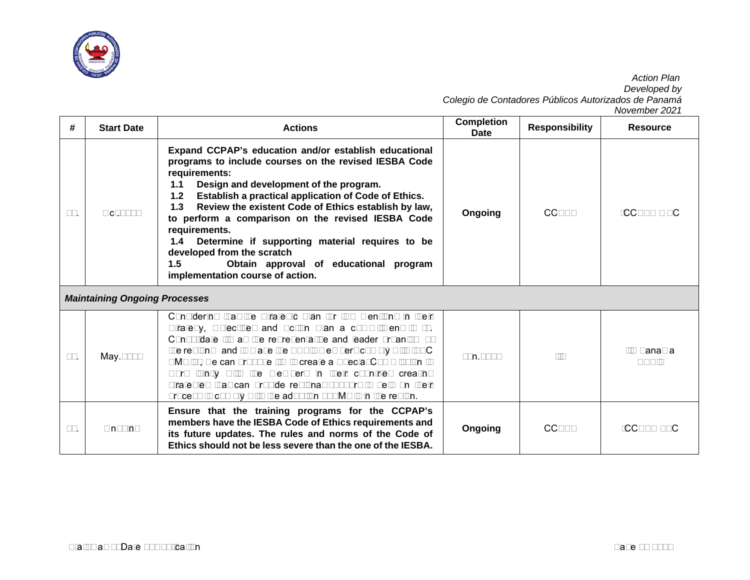

| #   | <b>Start Date</b>                    | <b>Actions</b>                                                                                                                                                                                                                                                                                                                                                                                                                                                                                                                                                      | <b>Completion</b><br><b>Date</b> | <b>Responsibility</b> | <b>Resource</b>            |
|-----|--------------------------------------|---------------------------------------------------------------------------------------------------------------------------------------------------------------------------------------------------------------------------------------------------------------------------------------------------------------------------------------------------------------------------------------------------------------------------------------------------------------------------------------------------------------------------------------------------------------------|----------------------------------|-----------------------|----------------------------|
| 36. | Oct.2018                             | Expand CCPAP's education and/or establish educational<br>programs to include courses on the revised IESBA Code<br>requirements:<br>Design and development of the program.<br>1.1<br>Establish a practical application of Code of Ethics.<br>$1.2$<br>Review the existent Code of Ethics establish by law,<br>1.3<br>to perform a comparison on the revised IESBA Code<br>requirements.<br>1.4<br>Determine if supporting material requires to be<br>developed from the scratch<br>1.5<br>Obtain approval of educational program<br>implementation course of action. | Ongoing                          | <b>CCPAP</b>          | $-CCPAP - EC$              |
|     | <b>Maintaining Ongoing Processes</b> |                                                                                                                                                                                                                                                                                                                                                                                                                                                                                                                                                                     |                                  |                       |                            |
| 37. | May.2018                             | Considering that the Strategic Plan for IAA mentions in their<br>Strategy, Objectives and Action Plan a commitment to "1.<br>Consolidate IIA as the representative and leader organism of<br>the region and to make the APA's members comply with IFAC<br>SMO's", we can propose IIA to create a Special Commission to<br>work jointly with the members in their countries creating<br>strategies that can provide regional support to help on their<br>process to comply with the adoption of SMO's in the region.                                                 | Jun.2018                         | 11A                   | <b>IIA Panama</b><br>APA's |
| 38. | Ongoing                              | Ensure that the training programs for the CCPAP's<br>members have the IESBA Code of Ethics requirements and<br>its future updates. The rules and norms of the Code of<br>Ethics should not be less severe than the one of the IESBA.                                                                                                                                                                                                                                                                                                                                | Ongoing                          | <b>CCPAP</b>          | -CCPAP - EC                |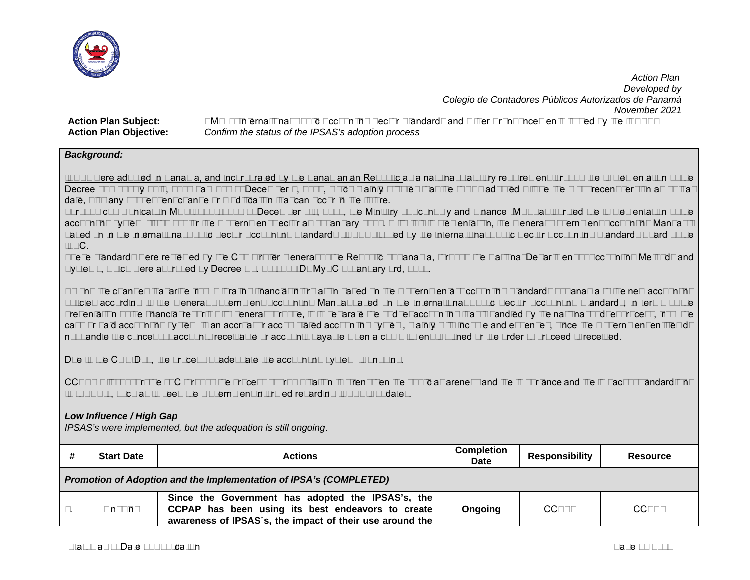

**Action Plan Subject:** SMO 5–International Public Accounting Sector Standards and Other Pronouncements Issued by the IPSASB **Action Plan Objective:** *Confirm the status of the IPSAS's adoption process*

## *Background:*

IPSAs were adopted in Panama, and incorporated by the Panamanian Republic as a national statutory requirement through the implementation of the Decree 220 of July 25th, 2014 Law 288 of December 9, 2014, which mainly stipules that the IPSAs adopted will be the most recent version as of that date, plus any subsequent change or modification that can occur in the future.

Through communication MEF-2017-74605 of December 6th, 2017, the Ministry of Economy and Finance (MEF) authorized the implementation of the accounting system (Isthmus) for the Government Sector as of January 2018. With this implementation, the General Government Accounting Manual is based on In the International Public Sector Accounting Standards (IPSAS) issued by the International Public Sector Accounting Standards Board of the IFAC.

These standards were reviewed by the Comptroller General of the Republic of Panama, through the National Department of Accounting Methods and Systems, which were approved by Decree No. 01-2017-DNMySC of January 3rd, 2017.

Among the changes that arise from migrating financial information based on the Governmental Accounting Standards of Panama to the new accounting policies according to the General Government Accounting Manual based on the International Public Sector Accounting Standards, in terms of the presentation of the financial reports with general purpose, is to separate the budget accounting that is handled by the national budget process, from the cash or paid accounting system to an accrual or accumulated accounting system, mainly with income and expenses, since the Government entities do not handle the concept of accounts receivable or accounts payable when a commitment is signed or the order to proceed is received.

Due to the COVID19, the process of adequate the accounting system is ongoing.

CCPAP will support the JTC through the process of promulgation to strengthen the public awareness and the importance and the impact of standardizing to IPSAS´s, such as to keep the Government informed regarding IPSAS's updates.

## *Low Influence / High Gap*

*IPSAS's were implemented, but the adequation is still ongoing*.

| <b>Start Date</b>                                                  | <b>Actions</b>                                                                                                                                                     | <b>Completion</b><br><b>Date</b> | <b>Responsibility</b> | <b>Resource</b> |  |  |
|--------------------------------------------------------------------|--------------------------------------------------------------------------------------------------------------------------------------------------------------------|----------------------------------|-----------------------|-----------------|--|--|
| Promotion of Adoption and the Implementation of IPSA's (COMPLETED) |                                                                                                                                                                    |                                  |                       |                 |  |  |
| Ongoing                                                            | Since the Government has adopted the IPSAS's, the<br>CCPAP has been using its best endeavors to create<br>awareness of IPSAS's, the impact of their use around the | Ongoing                          | <b>CCPAP</b>          | <b>CCPAP</b>    |  |  |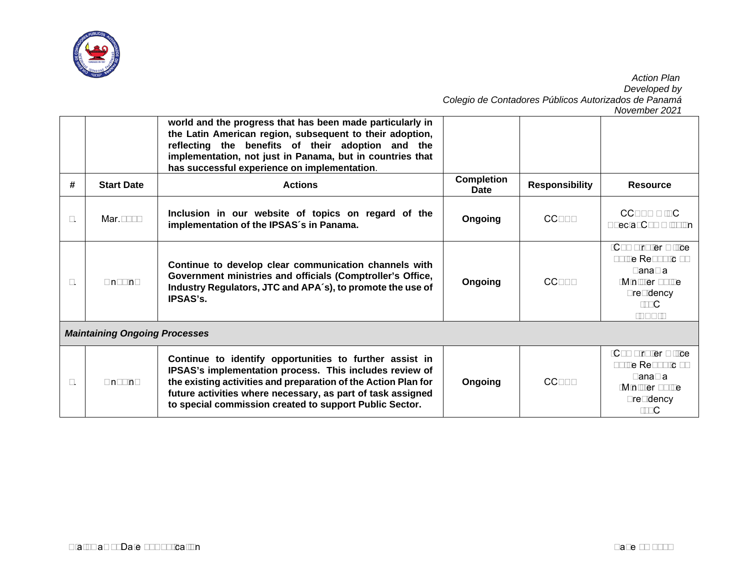

|    |                                      | world and the progress that has been made particularly in<br>the Latin American region, subsequent to their adoption,<br>reflecting the benefits of their adoption and the<br>implementation, not just in Panama, but in countries that<br>has successful experience on implementation.                        |                           |                       |                                                                                                         |  |  |  |  |
|----|--------------------------------------|----------------------------------------------------------------------------------------------------------------------------------------------------------------------------------------------------------------------------------------------------------------------------------------------------------------|---------------------------|-----------------------|---------------------------------------------------------------------------------------------------------|--|--|--|--|
| #  | <b>Start Date</b>                    | <b>Actions</b>                                                                                                                                                                                                                                                                                                 | <b>Completion</b><br>Date | <b>Responsibility</b> | <b>Resource</b>                                                                                         |  |  |  |  |
| 2. | Mar. 2017                            | Inclusion in our website of topics on regard of the<br>implementation of the IPSAS's in Panama.                                                                                                                                                                                                                | Ongoing                   | <b>CCPAP</b>          | CCPAP-ISC<br><b>Special Commission</b>                                                                  |  |  |  |  |
| 3. | Ongoing                              | Continue to develop clear communication channels with<br>Government ministries and officials (Comptroller's Office,<br>Industry Regulators, JTC and APA's), to promote the use of<br><b>IPSAS's.</b>                                                                                                           | Ongoing                   | <b>CCPAP</b>          | -Comptroller Office<br>of the Republic of<br>Panama<br>-Minister of the<br>Presidency<br>-JTC<br>-APA's |  |  |  |  |
|    | <b>Maintaining Ongoing Processes</b> |                                                                                                                                                                                                                                                                                                                |                           |                       |                                                                                                         |  |  |  |  |
| 4. | Ongoing                              | Continue to identify opportunities to further assist in<br>IPSAS's implementation process. This includes review of<br>the existing activities and preparation of the Action Plan for<br>future activities where necessary, as part of task assigned<br>to special commission created to support Public Sector. | Ongoing                   | <b>CCPAP</b>          | -Comptroller Office<br>of the Republic of<br>Panama<br>-Minister of the<br>Presidency<br>-JTC           |  |  |  |  |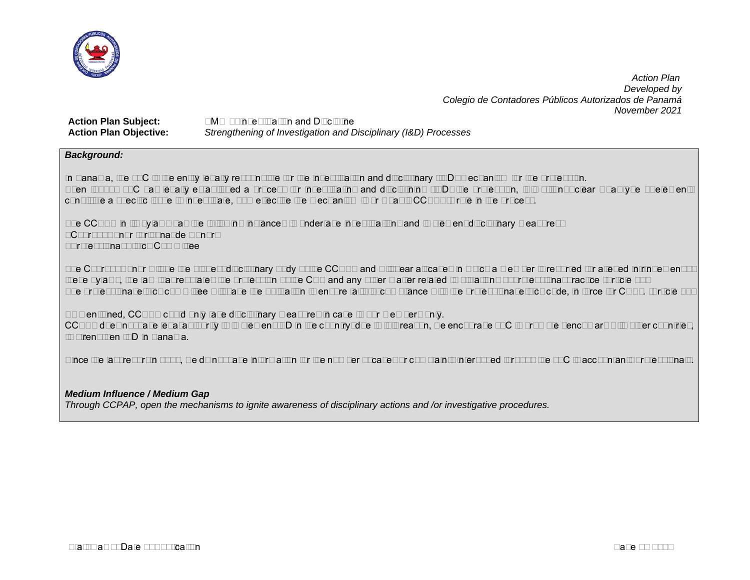

**Action Plan Subject:** SMO 6–Investigation and Discipline **Action Plan Objective:** *Strengthening of Investigation and Disciplinary (I&D) Processes*

## *Background:*

In Panama, the JTC is the entity legally responsible for the investigation and disciplinary (I&D) mechanism for the profession. Even though JTC has legally established a process for investigating and disciplining (I&D) the profession, it is still not clear what type of elements constitute a specific issue to investigate, how effective the mechanism is or what is CCPAP´s role in the process.

The CCPAP in its bylaws has the following instances to undertake investigations and implement disciplinary measures:

- Court of Honor (Tribunal de Honor)
- Professional Ethics Committee

The Court of Honor will be the highest disciplinary body of the CCPAP and will hear all cases in which a member is reported for alleged infringement of these bylaws, the law that regulates the profession of the CPA and any other matter related to violations of professional practice (Article 56) The professional ethics committee will have the obligation to ensure faithful compliance with the professional ethics code, in force for CPAs. (Article 57)

As mentioned, CCPAP could only take disciplinary measures in case to our members only.

CCPAP does not have legal authority to implement I&D in the country; due to this reason, we encourage JTC to promote benchmark with other countries, to strengthen I&D in Panama.

Since the last report in 2018, we do not have information for the number of cases or complaints interposed through the JTC to accountants professionals.

#### *Medium Influence / Medium Gap*

*Through CCPAP, open the mechanisms to ignite awareness of disciplinary actions and /or investigative procedures.*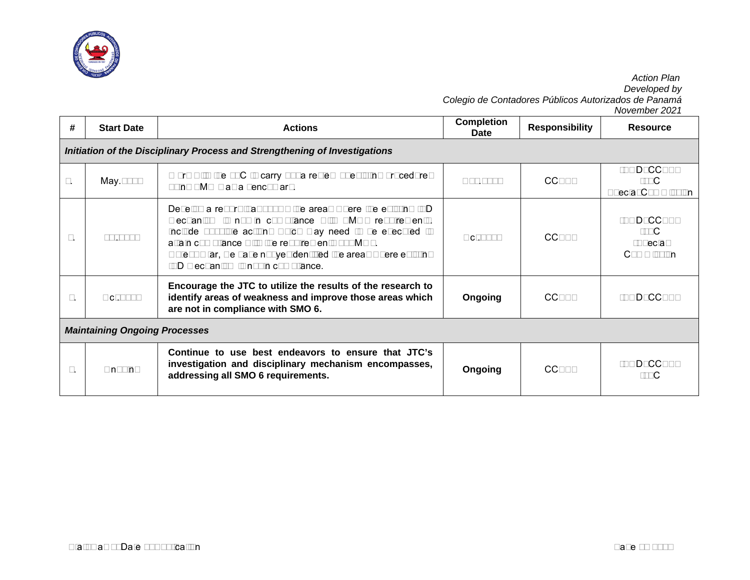

|                                                                            |                                      |                                                                                                                                                                                                                                                                                                                                                     |                           |                       | November 2021                                   |  |  |  |  |
|----------------------------------------------------------------------------|--------------------------------------|-----------------------------------------------------------------------------------------------------------------------------------------------------------------------------------------------------------------------------------------------------------------------------------------------------------------------------------------------------|---------------------------|-----------------------|-------------------------------------------------|--|--|--|--|
| #                                                                          | <b>Start Date</b>                    | <b>Actions</b>                                                                                                                                                                                                                                                                                                                                      | <b>Completion</b><br>Date | <b>Responsibility</b> | <b>Resource</b>                                 |  |  |  |  |
| Initiation of the Disciplinary Process and Strengthening of Investigations |                                      |                                                                                                                                                                                                                                                                                                                                                     |                           |                       |                                                 |  |  |  |  |
| 1.                                                                         | May.2018                             | Work with the JTC to carry out a review of existing procedures<br>using SMO 6 as a benchmark.                                                                                                                                                                                                                                                       | Nov.2018                  | <b>CCPAP</b>          | -BOD_CCPAP<br>-JTC<br><b>Special Commission</b> |  |  |  |  |
| 2.                                                                         | Jul.2018                             | Develop a report that shows the areas where the existing I&D<br>mechanism is not in compliance with SMO6 requirements.<br>Include possible actions which may need to be executed to<br>attain compliance with the requirements of SMO6.<br>Note: So far, we have not yet identified the areas where existing<br>I&D mechanism is not in compliance. | Oct. 2018                 | <b>CCPAP</b>          | -BOD_CCPAP<br>-JTC<br>-Special<br>Commission    |  |  |  |  |
| 3.                                                                         | Oct.2018                             | Encourage the JTC to utilize the results of the research to<br>identify areas of weakness and improve those areas which<br>are not in compliance with SMO 6.                                                                                                                                                                                        | Ongoing                   | <b>CCPAP</b>          | -BOD_CCPAP                                      |  |  |  |  |
|                                                                            | <b>Maintaining Ongoing Processes</b> |                                                                                                                                                                                                                                                                                                                                                     |                           |                       |                                                 |  |  |  |  |
| 4.                                                                         | Ongoing                              | Continue to use best endeavors to ensure that JTC's<br>investigation and disciplinary mechanism encompasses,<br>addressing all SMO 6 requirements.                                                                                                                                                                                                  | Ongoing                   | <b>CCPAP</b>          | -BOD_CCPAP<br>-JTC                              |  |  |  |  |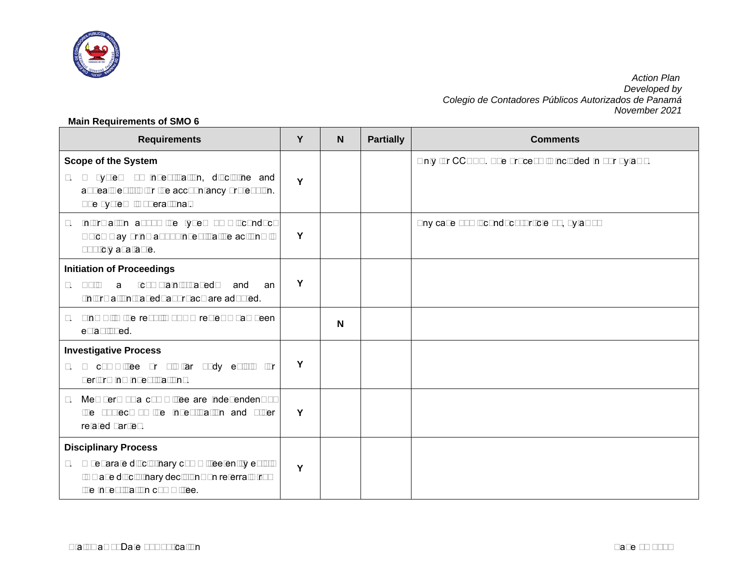

## **Main Requirements of SMO 6**

| <b>Requirements</b>                                                                                                                                                   | Y | N | <b>Partially</b> | <b>Comments</b>                                        |
|-----------------------------------------------------------------------------------------------------------------------------------------------------------------------|---|---|------------------|--------------------------------------------------------|
| <b>Scope of the System</b><br>1. A system of investigation, discipline and<br>appeals exists for the accountancy profession.<br>The system is operational.            | Y |   |                  | Only for CCPAP. The process is included in our bylaws. |
| Information about the types of misconduct<br>2.<br>which may bring about investigative actions is<br>publicly available.                                              | Υ |   |                  | Any case of misconduct (Article 56, bylaws)            |
| <b>Initiation of Proceedings</b><br>Both<br>"complaints-based"<br>3.<br>a<br>and<br>an<br>"information-based" approach are adopted.                                   | Υ |   |                  |                                                        |
| Link with the results of QA reviews has been<br>4.<br>established.                                                                                                    |   | N |                  |                                                        |
| <b>Investigative Process</b><br>5. A committee or similar body exists for<br>performing investigations.                                                               | Y |   |                  |                                                        |
| Members of a committee are independent of<br>6.<br>the subject of the investigation and other<br>related parties.                                                     | Y |   |                  |                                                        |
| <b>Disciplinary Process</b><br>7. A separate disciplinary committee/entity exists<br>to make disciplinary decisions on referrals from<br>the investigation committee. | Y |   |                  |                                                        |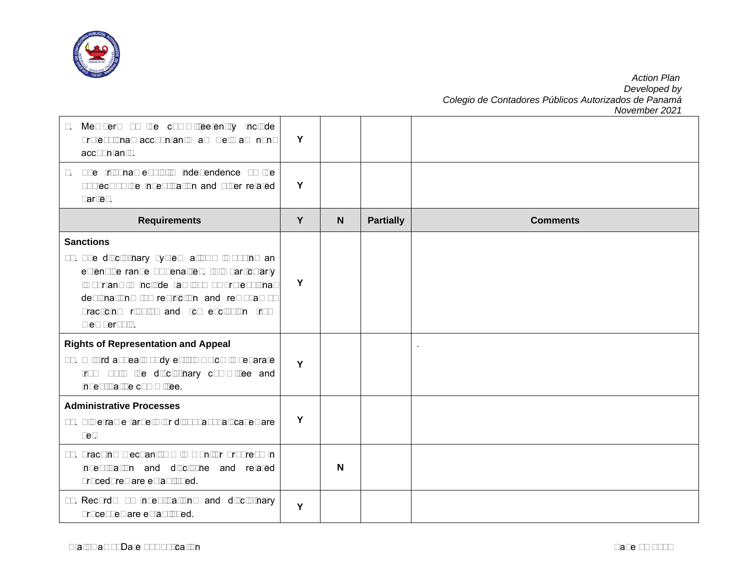

| Members of the committee/entity include<br>8.<br>professional accountants as well as non-<br>accountants.                                                                                                                                                                          | Y |   |                  |                 |
|------------------------------------------------------------------------------------------------------------------------------------------------------------------------------------------------------------------------------------------------------------------------------------|---|---|------------------|-----------------|
| The tribunal exhibits independence of the<br>9.<br>subject of the investigation and other related<br>parties.                                                                                                                                                                      | Y |   |                  |                 |
| <b>Requirements</b>                                                                                                                                                                                                                                                                | Y | N | <b>Partially</b> | <b>Comments</b> |
| <b>Sanctions</b><br>10. The disciplinary system allows imposing an<br>extensive range of penalties. It is particularly<br>important to include (a) loss of professional<br>designation; (b) restriction and removal of<br>practicing rights; and (c) exclusion from<br>membership. | Y |   |                  |                 |
| <b>Rights of Representation and Appeal</b><br>11. A third appeals body exists which is separate<br>from both the disciplinary committee and<br>investigative committee.                                                                                                            | Y |   |                  |                 |
| <b>Administrative Processes</b><br>12. Timeframe targets for disposal of all cases are<br>set.                                                                                                                                                                                     | Y |   |                  |                 |
| 13. Tracking mechanisms to monitor progress in<br>investigation and discipline and related<br>procedures are established.                                                                                                                                                          |   | N |                  |                 |
| 14. Records of investigations and disciplinary<br>processes are established.                                                                                                                                                                                                       | Y |   |                  |                 |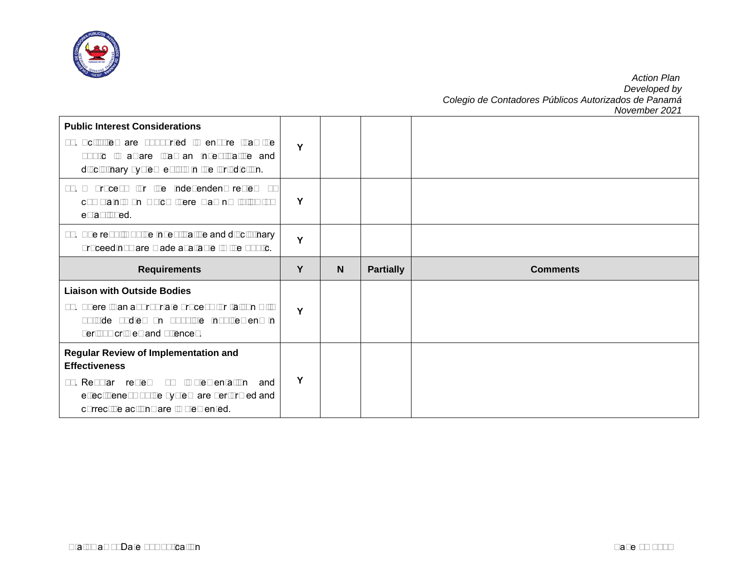

| <b>Public Interest Considerations</b><br>15. Activities are supported to ensure that the<br>public is aware that an investigative and<br>disciplinary system exists in the jurisdiction. | Y |   |                  |                 |
|------------------------------------------------------------------------------------------------------------------------------------------------------------------------------------------|---|---|------------------|-----------------|
| 16. A process for the independent review of<br>complaints on which there was no follow-up<br>established.                                                                                | Y |   |                  |                 |
| 17. The results of the investigative and disciplinary<br>proceedings are made available to the public.                                                                                   | Y |   |                  |                 |
| <b>Requirements</b>                                                                                                                                                                      | Y | N | <b>Partially</b> | <b>Comments</b> |
|                                                                                                                                                                                          |   |   |                  |                 |
| <b>Liaison with Outside Bodies</b><br>18. There is an appropriate process for liaison with<br>outside bodies on possible involvement in<br>serious crimes and offences.                  | Y |   |                  |                 |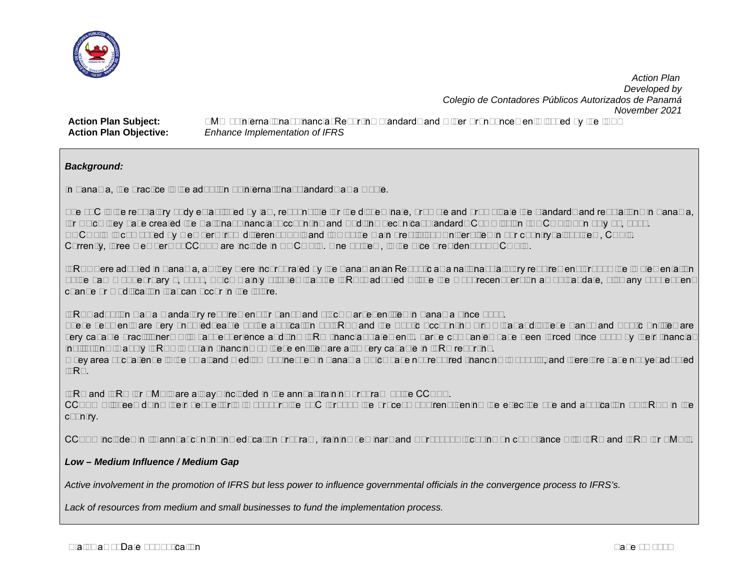

**Action Plan Subject:** SMO 7–International Financial Reporting Standards and Other Pronouncements issued by the IASB **Action Plan Objective:** *Enhance Implementation of IFRS*

## *Background:*

In Panama, the practice is the adoption of international standards as a whole.

The JTC is the regulatory body established by law, responsible for the disseminate, promote and promulgate the standards and regulations in Panama, for which they have created the National Financial Accounting and Auditing Technical Standards Commission (NOCOFIN) on July 10, 1986. NOCOFIN is composed by members from different APA's and two of the main prestigious Universities in our country; all of them, CPA's. Currently, three members of CCPAP are include in NOCOFIN. One of them, is the Vice President of NOCOFIN.

IFRSs were adopted in Panama, as they were incorporated by the Panamanian Republic as a national statutory requirement through the implementation of the Law 6 of February 2, 2005, which mainly stipules that the IFRS´s adopted will be the most recent version as of that date, plus any subsequent change or modification that can occur in the future.

IFRSs adoption was a mandatory requirement for banks and stock market entities in Panama since 2000.

These segments are very knowledgeable of the application of IFRSs and the Public Accounting Firms that audit these Banks and Public Entities are very capable practitioners with vast experience auditing IFRS financial statements. Large companies have been forced since 2002 by their financial institutions to apply IFRSs to obtain financing so these entities are also very capable in IFRS reporting.

A key area of challenge is the small and medium businesses in Panama which have not required financing to subsist, and therefore have not yet adopted IFRS.

IFRS and IFRS for SME's are always included in the annual training program of the CCPAP.

CCPAP will keep doing their best efforts to support the JTC through the process of strengthening the effective use and application of IFRSs in the country.

CCPAP includes in its annual continuing education program, training seminars and workshops focusing on compliance with IFRS and IFRS for SME's.

## *Low – Medium Influence / Medium Gap*

*Active involvement in the promotion of IFRS but less power to influence governmental officials in the convergence process to IFRS's.*

*Lack of resources from medium and small businesses to fund the implementation process.*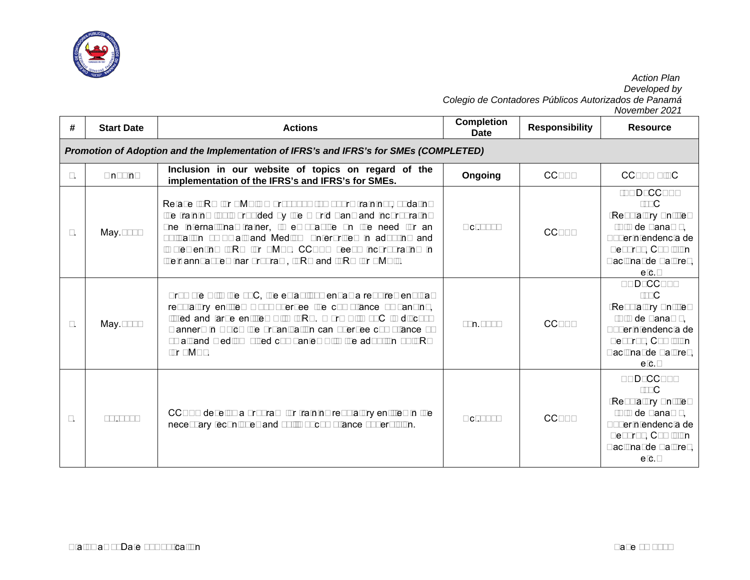

|    |                                                                                        |                                                                                                                                                                                                                                                                                                                                                                                    |                                  |                       | November 2021                                                                                                                                    |  |  |  |  |  |
|----|----------------------------------------------------------------------------------------|------------------------------------------------------------------------------------------------------------------------------------------------------------------------------------------------------------------------------------------------------------------------------------------------------------------------------------------------------------------------------------|----------------------------------|-----------------------|--------------------------------------------------------------------------------------------------------------------------------------------------|--|--|--|--|--|
| #  | <b>Start Date</b>                                                                      | <b>Actions</b>                                                                                                                                                                                                                                                                                                                                                                     | <b>Completion</b><br><b>Date</b> | <b>Responsibility</b> | <b>Resource</b>                                                                                                                                  |  |  |  |  |  |
|    | Promotion of Adoption and the Implementation of IFRS's and IFRS's for SMEs (COMPLETED) |                                                                                                                                                                                                                                                                                                                                                                                    |                                  |                       |                                                                                                                                                  |  |  |  |  |  |
| 1. | Ongoing                                                                                | Inclusion in our website of topics on regard of the<br>implementation of the IFRS's and IFRS's for SMEs.                                                                                                                                                                                                                                                                           | Ongoing                          | <b>CCPAP</b>          | <b>CCPAP - ISC</b>                                                                                                                               |  |  |  |  |  |
| 2. | May.2018                                                                               | Retake IFRS for SME's Workshops (24 hours training), updating<br>the training tools provided by the World Bank and incorporating<br>one international trainer, to emphasize on the need for an<br>obligation of Small and Medium Enterprises in adopting and<br>implementing IFRS for SMEs. CCPAP keeps incorporating in<br>their annual seminar program, IFRS and IFRS for SME's. | Oct.2018                         | <b>CCPAP</b>          | -BOD CCPAP<br>-JTC<br>-Regulatory Entities<br>(SIB de Panamá,<br>Superintendencia de<br>Seguros, Comisión<br>Nacional de Valores,<br>etc.        |  |  |  |  |  |
| 3. | May.2018                                                                               | Promote with the JTC, the establishment as a requirement that<br>regulatory entities must oversee the compliance of banking,<br>listed and large entities with IFRS. Work with JTC to discuss<br>manners in which the organization can oversee compliance of<br>small and medium sized companies with the adoption of IFRS<br>for SMEs.                                            | Jun.2019                         | <b>CCPAP</b>          | <b>BOD CCPAP</b><br>-JTC<br>-Regulatory Entities<br>(SIB de Panamá,<br>Superintendencia de<br>Seguros, Comisión<br>Nacional de Valores,<br>etc.  |  |  |  |  |  |
| 4. | Jul.2018                                                                               | CCPAP develop a program for training regulatory entities in the<br>necessary techniques and skills of compliance supervision.                                                                                                                                                                                                                                                      | Oct.2018                         | <b>CCPAP</b>          | <b>BOD CCPAP</b><br>-JTC<br>-Regulatory Entities<br>(SIB de Panamá,<br>Superintendencia de<br>Seguros, Comisión<br>Nacional de Valores,<br>etc.) |  |  |  |  |  |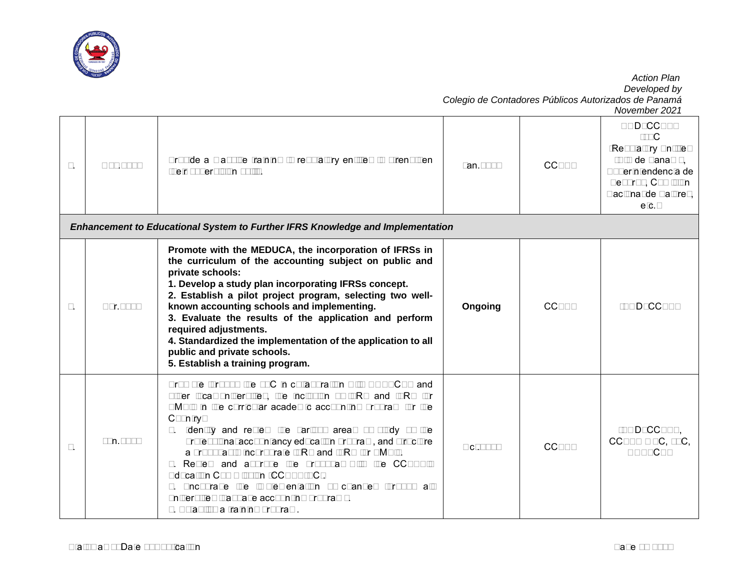

*Colegio de Contadores Públicos Autorizados de Panamá November 2021* 5. Nov.2018 Provide a massive training to regulatory entities to strengthen Their supervision skills.<br>their supervision skills. BOD\_CCPAP -JTC -Regulatory Entities (SIB de Panamá, Superintendencia de Seguros, Comisión Nacional de Valores, etc.) *Enhancement to Educational System to Further IFRS Knowledge and Implementation* 6. Apr.2018 **Promote with the MEDUCA, the incorporation of IFRSs in the curriculum of the accounting subject on public and private schools: 1. Develop a study plan incorporating IFRSs concept. 2. Establish a pilot project program, selecting two wellknown accounting schools and implementing. 3. Evaluate the results of the application and perform required adjustments. 4. Standardized the implementation of the application to all public and private schools. 5. Establish a training program. Ongoing** CCPAP -BOD CCPAP  $7.$  Jun.2018 Promote through the JTC in collaboration with UNESCPA and other local universities, the inclusion of IFRS and IFRS for SME's in the curricular academic accounting program for the Country: 1. Identify and review the various areas of study of the professional accountancy education program, and structure a proposal to incorporate IFRS and IFRS for SME's. 2. Review and approve the proposal with the CCPAP's Education Commission (CCPAP-EC). 3. Encourage the implementation of changes through all universities that have accounting programs. Oct.2018 CCPAP -BOD\_CCPAP, CCPAP – EC, JTC, UNESCPA

4. Establish a training program.

 *Action Plan Developed by*